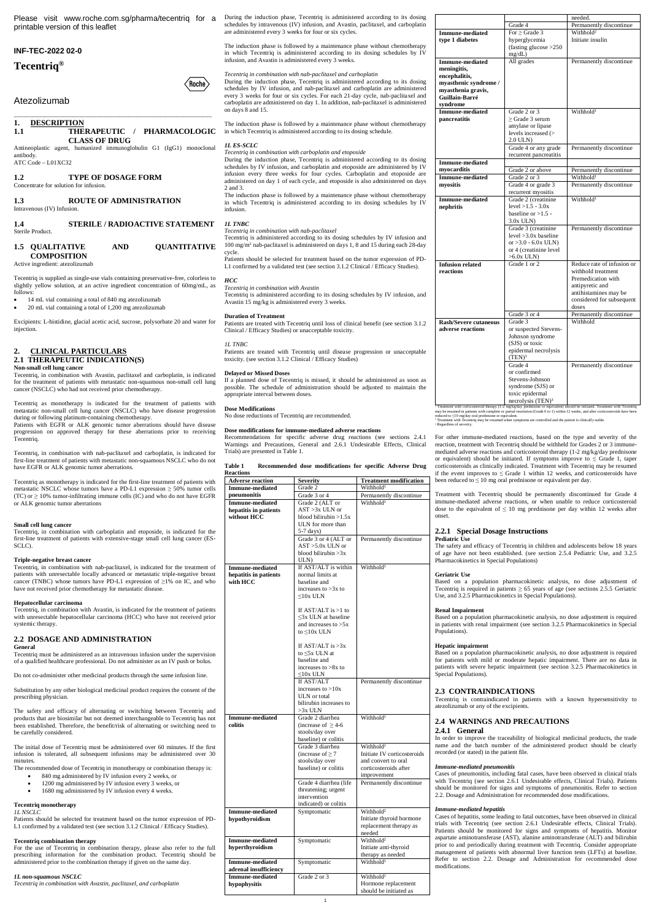printable version of this leaflet

## **INF-TEC-2022 02-0**

# **Tecentriq®**

## Atezolizumab

\_\_\_\_\_\_\_\_\_\_\_\_\_\_\_\_\_\_\_\_\_\_\_\_\_\_\_\_\_\_\_\_\_\_\_\_\_\_\_\_\_\_\_\_\_\_\_\_\_\_\_\_\_\_\_\_\_\_\_\_\_\_\_\_

**1. DESCRIPTION 1.1 THERAPEUTIC / PHARMACOLOGIC CLASS OF DRUG**

Antineoplastic agent, humanized immunoglobulin G1 (IgG1) monoclonal antibody. ATC Code – L01XC32

**1.2 TYPE OF DOSAGE FORM** Concentrate for solution for infusion.

## **1.3 ROUTE OF ADMINISTRATION** Intravenous (IV) Infusion.

**1.4 STERILE / RADIOACTIVE STATEMENT** Sterile Product.

| 1.5 QUALITATIVE    | AND | <b>QUANTITATIVE</b> |
|--------------------|-----|---------------------|
| <b>COMPOSITION</b> |     |                     |

Active ingredient: atezolizumab

Tecentriq is supplied as single-use vials containing preservative-free, colorless to slightly yellow solution, at an active ingredient concentration of 60mg/mL, as follows:

- 14 mL vial containing a total of 840 mg atezolizumab
- 20 mL vial containing a total of 1,200 mg atezolizumab

Excipients: L-histidine, glacial acetic acid, sucrose, polysorbate 20 and water for injection.

## **2. CLINICAL PARTICULARS 2.1 THERAPEUTIC INDICATION(S)**

### **Non-small cell lung cancer**

Tecentriq, in combination with Avastin, paclitaxel and carboplatin, is indicated for the treatment of patients with metastatic non-squamous non-small cell lung cancer (NSCLC) who had not received prior chemotherapy.

Tecentriq as monotherapy is indicated for the treatment of patients with metastatic non-small cell lung cancer (NSCLC) who have disease progression during or following platinum-containing chemotherapy. Patients with EGFR or ALK genomic tumor aberrations should have disease

progression on approved therapy for these aberrations prior to receiving Tecentriq.

Tecentriq, in combination with nab-paclitaxel and carboplatin, is indicated for first-line treatment of patients with metastatic non-squamous NSCLC who do not have EGFR or ALK genomic tumor aberrations.

Tecentriq as monotherapy is indicated for the first-line treatment of patients with metastatic NSCLC whose tumors have a PD-L1 expression  $\geq$  50% tumor cells (TC) or  $\geq$  10% tumor-infiltrating immune cells (IC) and who do not have EGFR or ALK genomic tumor aberrations

## **Small cell lung cancer**

For the use of Tecentriq in combination therapy, please also refer to the full prescribing information for the combination product. Tecentriq should be administered prior to the combination therapy if given on the same day.

Tecentriq, in combination with carboplatin and etoposide, is indicated for the first-line treatment of patients with extensive-stage small cell lung cancer (ES-SCLC).

Please visit www.roche.com.sg/pharma/tecentriq for a During the induction phase, Tecentriq is administered according to its dosing schedules by intravenous (IV) infusion, and Avastin, paclitaxel, and carboplatin are administered every 3 weeks for four or six cycles.

## **Triple-negative breast cancer**

Tecentriq, in combination with nab-paclitaxel, is indicated for the treatment of patients with unresectable locally advanced or metastatic triple-negative breast cancer (TNBC) whose tumors have PD-L1 expression of ≥1% on IC, and who have not received prior chemotherapy for metastatic disease.

## **Hepatocellular carcinoma**

Tecentriq, in combination with Avastin, is indicated for the treatment of patients with unresectable hepatocellular carcinoma (HCC) who have not received prior systemic therapy.

## **2.2 DOSAGE AND ADMINISTRATION General** Tecentriq must be administered as an intravenous infusion under the supervision

of a qualified healthcare professional. Do not administer as an IV push or bolus.

Do not co-administer other medicinal products through the same infusion line.

Substitution by any other biological medicinal product requires the consent of the

#### prescribing physician.

The safety and efficacy of alternating or switching between Tecentriq and products that are biosimilar but not deemed interchangeable to Tecentriq has not been established. Therefore, the benefit/risk of alternating or switching need to be carefully considered.

The initial dose of Tecentriq must be administered over 60 minutes. If the first infusion is tolerated, all subsequent infusions may be administered over 30 minutes.

The recommended dose of Tecentriq in monotherapy or combination therapy is:

- 840 mg administered by IV infusion every 2 weeks, or
- 1200 mg administered by IV infusion every 3 weeks, or
- 1680 mg administered by IV infusion every 4 weeks.

## **Tecentriq monotherapy**

#### *1L NSCLC*

Patients should be selected for treatment based on the tumor expression of PD-L1 confirmed by a validated test (see section 3.1.2 Clinical / Efficacy Studies).

#### **Tecentriq combination therapy**

#### *1L non-squamous NSCLC*

*Tecentriq in combination with Avastin, paclitaxel, and carboplatin*

The induction phase is followed by a maintenance phase without chemotherapy in which Tecentriq is administered according to its dosing schedules by IV infusion, and Avastin is administered every 3 weeks.

*Tecentriq in combination with nab-paclitaxel and carboplatin*

During the induction phase, Tecentriq is administered according to its dosing schedules by IV infusion, and nab-paclitaxel and carboplatin are administered every 3 weeks for four or six cycles. For each 21-day cycle, nab-paclitaxel and carboplatin are administered on day 1. In addition, nab-paclitaxel is administered on days 8 and 15.

The induction phase is followed by a maintenance phase without chemotherapy in which Tecentriq is administered according to its dosing schedule.

> For other immune-mediated reactions, based on the type and severity of the reaction, treatment with Tecentriq should be withheld for Grades 2 or 3 immunemediated adverse reactions and corticosteroid therapy (1-2 mg/kg/day prednisone or equivalent) should be initiated. If symptoms improve to  $\leq$  Grade 1, taper corticosteroids as clinically indicated. Treatment with Tecentriq may be resumed if the event improves to  $\leq$  Grade 1 within 12 weeks, and corticosteroids have been reduced to  $\leq 10$  mg oral prednisone or equivalent per day.

## *1L ES-SCLC*

(Roche)

*Tecentriq in combination with carboplatin and etoposide* During the induction phase, Tecentriq is administered according to its dosing schedules by IV infusion, and carboplatin and etoposide are administered by IV infusion every three weeks for four cycles. Carboplatin and etoposide are administered on day 1 of each cycle, and etoposide is also administered on days 2 and 3.

The induction phase is followed by a maintenance phase without chemotherapy in which Tecentriq is administered according to its dosing schedules by IV infusion.

*1L TNBC*

*Tecentriq in combination with nab-paclitaxel*

Tecentriq is administered according to its dosing schedules by IV infusion and 100 mg/m<sup>2</sup> nab-paclitaxel is administered on days 1, 8 and 15 during each 28-day cycle.

Patients should be selected for treatment based on the tumor expression of PD-L1 confirmed by a validated test (see section 3.1.2 Clinical / Efficacy Studies).

## *HCC*

*Tecentriq in combination with Avastin* Tecentriq is administered according to its dosing schedules by IV infusion, and

Avastin 15 mg/kg is administered every 3 weeks.

## **Duration of Treatment**

Patients are treated with Tecentriq until loss of clinical benefit (see section 3.1.2 Clinical / Efficacy Studies) or unacceptable toxicity.

*1L TNBC*

Patients are treated with Tecentriq until disease progression or unacceptable toxicity. (see section 3.1.2 Clinical / Efficacy Studies)

## **Delayed or Missed Doses**

If a planned dose of Tecentriq is missed, it should be administered as soon as possible. The schedule of administration should be adjusted to maintain the appropriate interval between doses.

## **Dose Modifications**

No dose reductions of Tecentriq are recommended.

## **Dose modifications for immune-mediated adverse reactions**

Recommendations for specific adverse drug reactions (see sections 2.4.1 Warnings and Precautions, General and 2.6.1 Undesirable Effects, Clinical Trials) are presented in Table 1.

### **Table 1 Recommended dose modifications for specific Adverse Drug Reactions**

| Grade 2<br><b>Immune-mediated</b><br>Withhold <sup>1</sup><br>Grade 3 or 4<br>pneumonitis<br>Permanently discontinue<br>Withhold <sup>1</sup><br>Grade 2 (ALT or<br><b>Immune-mediated</b><br>hepatitis in patients<br>$AST > 3x$ ULN or<br>blood bilirubin $>1.5x$<br>without HCC<br>ULN for more than<br>5-7 days)<br>Grade 3 or 4 (ALT or<br>Permanently discontinue<br>$AST > 5.0x$ ULN or<br>blood bilirubin $>3x$<br>ULN)<br>If AST/ALT is within<br>Withhold <sup>1</sup><br><b>Immune-mediated</b><br>hepatitis in patients<br>normal limits at<br>with HCC<br>baseline and<br>increases to $>3x$ to<br>$\leq 10x$ ULN<br>If $AST/ALT$ is $>1$ to<br>$\leq$ 3x ULN at baseline<br>and increases to $>5x$<br>to $\leq 10x$ ULN<br>If $AST/ALT$ is $>3x$<br>to $\leq 5x$ ULN at<br>baseline and<br>increases to $>8x$ to<br>≤10x ULN<br>If AST/ALT<br>Permanently discontinue<br>increases to $>10x$<br>ULN or total<br>bilirubin increases to<br>>3x ULN<br>Withhold <sup>1</sup><br><b>Immune-mediated</b><br>Grade 2 diarrhea<br>colitis<br>(increase of $\geq$ 4-6<br>stools/day over<br>baseline) or colitis<br>Grade 3 diarrhea<br>Withhold <sup>1</sup><br>(increase of $\geq$ 7<br>Initiate IV corticosteroids<br>stools/day over<br>and convert to oral<br>baseline) or colitis<br>corticosteroids after<br>improvement<br>Permanently discontinue<br>Grade 4 diarrhea (life<br>threatening; urgent<br>intervention<br>indicated) or colitis<br>Symptomatic<br>Withhold <sup>2</sup><br><b>Immune-mediated</b><br>Initiate thyroid hormone<br>hypothyroidism<br>replacement therapy as<br>needed<br>Withhold <sup>2</sup><br>Symptomatic<br><b>Immune-mediated</b><br>Initiate anti-thyroid<br>hyperthyroidism<br>therapy as needed<br>Withhold <sup>1</sup><br>Symptomatic<br><b>Immune-mediated</b><br>adrenal insufficiency<br><b>Immune-mediated</b><br>Withhold <sup>1</sup><br>Grade 2 or 3<br>Hormone replacement<br>hypophysitis | <b>Adverse</b> reaction | <b>Severity</b> | <b>Treatment modification</b> |
|---------------------------------------------------------------------------------------------------------------------------------------------------------------------------------------------------------------------------------------------------------------------------------------------------------------------------------------------------------------------------------------------------------------------------------------------------------------------------------------------------------------------------------------------------------------------------------------------------------------------------------------------------------------------------------------------------------------------------------------------------------------------------------------------------------------------------------------------------------------------------------------------------------------------------------------------------------------------------------------------------------------------------------------------------------------------------------------------------------------------------------------------------------------------------------------------------------------------------------------------------------------------------------------------------------------------------------------------------------------------------------------------------------------------------------------------------------------------------------------------------------------------------------------------------------------------------------------------------------------------------------------------------------------------------------------------------------------------------------------------------------------------------------------------------------------------------------------------------------------------------------------------------------------------------------------------------------|-------------------------|-----------------|-------------------------------|
|                                                                                                                                                                                                                                                                                                                                                                                                                                                                                                                                                                                                                                                                                                                                                                                                                                                                                                                                                                                                                                                                                                                                                                                                                                                                                                                                                                                                                                                                                                                                                                                                                                                                                                                                                                                                                                                                                                                                                         |                         |                 |                               |
|                                                                                                                                                                                                                                                                                                                                                                                                                                                                                                                                                                                                                                                                                                                                                                                                                                                                                                                                                                                                                                                                                                                                                                                                                                                                                                                                                                                                                                                                                                                                                                                                                                                                                                                                                                                                                                                                                                                                                         |                         |                 |                               |
|                                                                                                                                                                                                                                                                                                                                                                                                                                                                                                                                                                                                                                                                                                                                                                                                                                                                                                                                                                                                                                                                                                                                                                                                                                                                                                                                                                                                                                                                                                                                                                                                                                                                                                                                                                                                                                                                                                                                                         |                         |                 |                               |
|                                                                                                                                                                                                                                                                                                                                                                                                                                                                                                                                                                                                                                                                                                                                                                                                                                                                                                                                                                                                                                                                                                                                                                                                                                                                                                                                                                                                                                                                                                                                                                                                                                                                                                                                                                                                                                                                                                                                                         |                         |                 |                               |
|                                                                                                                                                                                                                                                                                                                                                                                                                                                                                                                                                                                                                                                                                                                                                                                                                                                                                                                                                                                                                                                                                                                                                                                                                                                                                                                                                                                                                                                                                                                                                                                                                                                                                                                                                                                                                                                                                                                                                         |                         |                 |                               |
|                                                                                                                                                                                                                                                                                                                                                                                                                                                                                                                                                                                                                                                                                                                                                                                                                                                                                                                                                                                                                                                                                                                                                                                                                                                                                                                                                                                                                                                                                                                                                                                                                                                                                                                                                                                                                                                                                                                                                         |                         |                 |                               |
|                                                                                                                                                                                                                                                                                                                                                                                                                                                                                                                                                                                                                                                                                                                                                                                                                                                                                                                                                                                                                                                                                                                                                                                                                                                                                                                                                                                                                                                                                                                                                                                                                                                                                                                                                                                                                                                                                                                                                         |                         |                 |                               |
|                                                                                                                                                                                                                                                                                                                                                                                                                                                                                                                                                                                                                                                                                                                                                                                                                                                                                                                                                                                                                                                                                                                                                                                                                                                                                                                                                                                                                                                                                                                                                                                                                                                                                                                                                                                                                                                                                                                                                         |                         |                 |                               |
|                                                                                                                                                                                                                                                                                                                                                                                                                                                                                                                                                                                                                                                                                                                                                                                                                                                                                                                                                                                                                                                                                                                                                                                                                                                                                                                                                                                                                                                                                                                                                                                                                                                                                                                                                                                                                                                                                                                                                         |                         |                 |                               |
|                                                                                                                                                                                                                                                                                                                                                                                                                                                                                                                                                                                                                                                                                                                                                                                                                                                                                                                                                                                                                                                                                                                                                                                                                                                                                                                                                                                                                                                                                                                                                                                                                                                                                                                                                                                                                                                                                                                                                         |                         |                 |                               |
|                                                                                                                                                                                                                                                                                                                                                                                                                                                                                                                                                                                                                                                                                                                                                                                                                                                                                                                                                                                                                                                                                                                                                                                                                                                                                                                                                                                                                                                                                                                                                                                                                                                                                                                                                                                                                                                                                                                                                         |                         |                 |                               |
|                                                                                                                                                                                                                                                                                                                                                                                                                                                                                                                                                                                                                                                                                                                                                                                                                                                                                                                                                                                                                                                                                                                                                                                                                                                                                                                                                                                                                                                                                                                                                                                                                                                                                                                                                                                                                                                                                                                                                         |                         |                 |                               |
|                                                                                                                                                                                                                                                                                                                                                                                                                                                                                                                                                                                                                                                                                                                                                                                                                                                                                                                                                                                                                                                                                                                                                                                                                                                                                                                                                                                                                                                                                                                                                                                                                                                                                                                                                                                                                                                                                                                                                         |                         |                 |                               |
|                                                                                                                                                                                                                                                                                                                                                                                                                                                                                                                                                                                                                                                                                                                                                                                                                                                                                                                                                                                                                                                                                                                                                                                                                                                                                                                                                                                                                                                                                                                                                                                                                                                                                                                                                                                                                                                                                                                                                         |                         |                 |                               |
|                                                                                                                                                                                                                                                                                                                                                                                                                                                                                                                                                                                                                                                                                                                                                                                                                                                                                                                                                                                                                                                                                                                                                                                                                                                                                                                                                                                                                                                                                                                                                                                                                                                                                                                                                                                                                                                                                                                                                         |                         |                 |                               |
|                                                                                                                                                                                                                                                                                                                                                                                                                                                                                                                                                                                                                                                                                                                                                                                                                                                                                                                                                                                                                                                                                                                                                                                                                                                                                                                                                                                                                                                                                                                                                                                                                                                                                                                                                                                                                                                                                                                                                         |                         |                 |                               |
|                                                                                                                                                                                                                                                                                                                                                                                                                                                                                                                                                                                                                                                                                                                                                                                                                                                                                                                                                                                                                                                                                                                                                                                                                                                                                                                                                                                                                                                                                                                                                                                                                                                                                                                                                                                                                                                                                                                                                         |                         |                 |                               |
|                                                                                                                                                                                                                                                                                                                                                                                                                                                                                                                                                                                                                                                                                                                                                                                                                                                                                                                                                                                                                                                                                                                                                                                                                                                                                                                                                                                                                                                                                                                                                                                                                                                                                                                                                                                                                                                                                                                                                         |                         |                 |                               |
|                                                                                                                                                                                                                                                                                                                                                                                                                                                                                                                                                                                                                                                                                                                                                                                                                                                                                                                                                                                                                                                                                                                                                                                                                                                                                                                                                                                                                                                                                                                                                                                                                                                                                                                                                                                                                                                                                                                                                         |                         |                 |                               |
|                                                                                                                                                                                                                                                                                                                                                                                                                                                                                                                                                                                                                                                                                                                                                                                                                                                                                                                                                                                                                                                                                                                                                                                                                                                                                                                                                                                                                                                                                                                                                                                                                                                                                                                                                                                                                                                                                                                                                         |                         |                 |                               |
|                                                                                                                                                                                                                                                                                                                                                                                                                                                                                                                                                                                                                                                                                                                                                                                                                                                                                                                                                                                                                                                                                                                                                                                                                                                                                                                                                                                                                                                                                                                                                                                                                                                                                                                                                                                                                                                                                                                                                         |                         |                 |                               |
|                                                                                                                                                                                                                                                                                                                                                                                                                                                                                                                                                                                                                                                                                                                                                                                                                                                                                                                                                                                                                                                                                                                                                                                                                                                                                                                                                                                                                                                                                                                                                                                                                                                                                                                                                                                                                                                                                                                                                         |                         |                 |                               |
|                                                                                                                                                                                                                                                                                                                                                                                                                                                                                                                                                                                                                                                                                                                                                                                                                                                                                                                                                                                                                                                                                                                                                                                                                                                                                                                                                                                                                                                                                                                                                                                                                                                                                                                                                                                                                                                                                                                                                         |                         |                 |                               |
|                                                                                                                                                                                                                                                                                                                                                                                                                                                                                                                                                                                                                                                                                                                                                                                                                                                                                                                                                                                                                                                                                                                                                                                                                                                                                                                                                                                                                                                                                                                                                                                                                                                                                                                                                                                                                                                                                                                                                         |                         |                 |                               |
|                                                                                                                                                                                                                                                                                                                                                                                                                                                                                                                                                                                                                                                                                                                                                                                                                                                                                                                                                                                                                                                                                                                                                                                                                                                                                                                                                                                                                                                                                                                                                                                                                                                                                                                                                                                                                                                                                                                                                         |                         |                 |                               |
|                                                                                                                                                                                                                                                                                                                                                                                                                                                                                                                                                                                                                                                                                                                                                                                                                                                                                                                                                                                                                                                                                                                                                                                                                                                                                                                                                                                                                                                                                                                                                                                                                                                                                                                                                                                                                                                                                                                                                         |                         |                 |                               |
|                                                                                                                                                                                                                                                                                                                                                                                                                                                                                                                                                                                                                                                                                                                                                                                                                                                                                                                                                                                                                                                                                                                                                                                                                                                                                                                                                                                                                                                                                                                                                                                                                                                                                                                                                                                                                                                                                                                                                         |                         |                 |                               |
|                                                                                                                                                                                                                                                                                                                                                                                                                                                                                                                                                                                                                                                                                                                                                                                                                                                                                                                                                                                                                                                                                                                                                                                                                                                                                                                                                                                                                                                                                                                                                                                                                                                                                                                                                                                                                                                                                                                                                         |                         |                 |                               |
|                                                                                                                                                                                                                                                                                                                                                                                                                                                                                                                                                                                                                                                                                                                                                                                                                                                                                                                                                                                                                                                                                                                                                                                                                                                                                                                                                                                                                                                                                                                                                                                                                                                                                                                                                                                                                                                                                                                                                         |                         |                 |                               |
|                                                                                                                                                                                                                                                                                                                                                                                                                                                                                                                                                                                                                                                                                                                                                                                                                                                                                                                                                                                                                                                                                                                                                                                                                                                                                                                                                                                                                                                                                                                                                                                                                                                                                                                                                                                                                                                                                                                                                         |                         |                 |                               |
|                                                                                                                                                                                                                                                                                                                                                                                                                                                                                                                                                                                                                                                                                                                                                                                                                                                                                                                                                                                                                                                                                                                                                                                                                                                                                                                                                                                                                                                                                                                                                                                                                                                                                                                                                                                                                                                                                                                                                         |                         |                 |                               |
|                                                                                                                                                                                                                                                                                                                                                                                                                                                                                                                                                                                                                                                                                                                                                                                                                                                                                                                                                                                                                                                                                                                                                                                                                                                                                                                                                                                                                                                                                                                                                                                                                                                                                                                                                                                                                                                                                                                                                         |                         |                 |                               |
|                                                                                                                                                                                                                                                                                                                                                                                                                                                                                                                                                                                                                                                                                                                                                                                                                                                                                                                                                                                                                                                                                                                                                                                                                                                                                                                                                                                                                                                                                                                                                                                                                                                                                                                                                                                                                                                                                                                                                         |                         |                 |                               |
|                                                                                                                                                                                                                                                                                                                                                                                                                                                                                                                                                                                                                                                                                                                                                                                                                                                                                                                                                                                                                                                                                                                                                                                                                                                                                                                                                                                                                                                                                                                                                                                                                                                                                                                                                                                                                                                                                                                                                         |                         |                 |                               |
|                                                                                                                                                                                                                                                                                                                                                                                                                                                                                                                                                                                                                                                                                                                                                                                                                                                                                                                                                                                                                                                                                                                                                                                                                                                                                                                                                                                                                                                                                                                                                                                                                                                                                                                                                                                                                                                                                                                                                         |                         |                 |                               |
|                                                                                                                                                                                                                                                                                                                                                                                                                                                                                                                                                                                                                                                                                                                                                                                                                                                                                                                                                                                                                                                                                                                                                                                                                                                                                                                                                                                                                                                                                                                                                                                                                                                                                                                                                                                                                                                                                                                                                         |                         |                 |                               |
|                                                                                                                                                                                                                                                                                                                                                                                                                                                                                                                                                                                                                                                                                                                                                                                                                                                                                                                                                                                                                                                                                                                                                                                                                                                                                                                                                                                                                                                                                                                                                                                                                                                                                                                                                                                                                                                                                                                                                         |                         |                 |                               |
|                                                                                                                                                                                                                                                                                                                                                                                                                                                                                                                                                                                                                                                                                                                                                                                                                                                                                                                                                                                                                                                                                                                                                                                                                                                                                                                                                                                                                                                                                                                                                                                                                                                                                                                                                                                                                                                                                                                                                         |                         |                 |                               |
|                                                                                                                                                                                                                                                                                                                                                                                                                                                                                                                                                                                                                                                                                                                                                                                                                                                                                                                                                                                                                                                                                                                                                                                                                                                                                                                                                                                                                                                                                                                                                                                                                                                                                                                                                                                                                                                                                                                                                         |                         |                 |                               |
|                                                                                                                                                                                                                                                                                                                                                                                                                                                                                                                                                                                                                                                                                                                                                                                                                                                                                                                                                                                                                                                                                                                                                                                                                                                                                                                                                                                                                                                                                                                                                                                                                                                                                                                                                                                                                                                                                                                                                         |                         |                 |                               |
|                                                                                                                                                                                                                                                                                                                                                                                                                                                                                                                                                                                                                                                                                                                                                                                                                                                                                                                                                                                                                                                                                                                                                                                                                                                                                                                                                                                                                                                                                                                                                                                                                                                                                                                                                                                                                                                                                                                                                         |                         |                 |                               |
|                                                                                                                                                                                                                                                                                                                                                                                                                                                                                                                                                                                                                                                                                                                                                                                                                                                                                                                                                                                                                                                                                                                                                                                                                                                                                                                                                                                                                                                                                                                                                                                                                                                                                                                                                                                                                                                                                                                                                         |                         |                 |                               |
|                                                                                                                                                                                                                                                                                                                                                                                                                                                                                                                                                                                                                                                                                                                                                                                                                                                                                                                                                                                                                                                                                                                                                                                                                                                                                                                                                                                                                                                                                                                                                                                                                                                                                                                                                                                                                                                                                                                                                         |                         |                 |                               |
|                                                                                                                                                                                                                                                                                                                                                                                                                                                                                                                                                                                                                                                                                                                                                                                                                                                                                                                                                                                                                                                                                                                                                                                                                                                                                                                                                                                                                                                                                                                                                                                                                                                                                                                                                                                                                                                                                                                                                         |                         |                 |                               |
|                                                                                                                                                                                                                                                                                                                                                                                                                                                                                                                                                                                                                                                                                                                                                                                                                                                                                                                                                                                                                                                                                                                                                                                                                                                                                                                                                                                                                                                                                                                                                                                                                                                                                                                                                                                                                                                                                                                                                         |                         |                 |                               |
|                                                                                                                                                                                                                                                                                                                                                                                                                                                                                                                                                                                                                                                                                                                                                                                                                                                                                                                                                                                                                                                                                                                                                                                                                                                                                                                                                                                                                                                                                                                                                                                                                                                                                                                                                                                                                                                                                                                                                         |                         |                 |                               |
|                                                                                                                                                                                                                                                                                                                                                                                                                                                                                                                                                                                                                                                                                                                                                                                                                                                                                                                                                                                                                                                                                                                                                                                                                                                                                                                                                                                                                                                                                                                                                                                                                                                                                                                                                                                                                                                                                                                                                         |                         |                 |                               |
|                                                                                                                                                                                                                                                                                                                                                                                                                                                                                                                                                                                                                                                                                                                                                                                                                                                                                                                                                                                                                                                                                                                                                                                                                                                                                                                                                                                                                                                                                                                                                                                                                                                                                                                                                                                                                                                                                                                                                         |                         |                 |                               |
|                                                                                                                                                                                                                                                                                                                                                                                                                                                                                                                                                                                                                                                                                                                                                                                                                                                                                                                                                                                                                                                                                                                                                                                                                                                                                                                                                                                                                                                                                                                                                                                                                                                                                                                                                                                                                                                                                                                                                         |                         |                 |                               |
|                                                                                                                                                                                                                                                                                                                                                                                                                                                                                                                                                                                                                                                                                                                                                                                                                                                                                                                                                                                                                                                                                                                                                                                                                                                                                                                                                                                                                                                                                                                                                                                                                                                                                                                                                                                                                                                                                                                                                         |                         |                 |                               |
|                                                                                                                                                                                                                                                                                                                                                                                                                                                                                                                                                                                                                                                                                                                                                                                                                                                                                                                                                                                                                                                                                                                                                                                                                                                                                                                                                                                                                                                                                                                                                                                                                                                                                                                                                                                                                                                                                                                                                         |                         |                 |                               |
|                                                                                                                                                                                                                                                                                                                                                                                                                                                                                                                                                                                                                                                                                                                                                                                                                                                                                                                                                                                                                                                                                                                                                                                                                                                                                                                                                                                                                                                                                                                                                                                                                                                                                                                                                                                                                                                                                                                                                         |                         |                 |                               |
|                                                                                                                                                                                                                                                                                                                                                                                                                                                                                                                                                                                                                                                                                                                                                                                                                                                                                                                                                                                                                                                                                                                                                                                                                                                                                                                                                                                                                                                                                                                                                                                                                                                                                                                                                                                                                                                                                                                                                         |                         |                 |                               |
|                                                                                                                                                                                                                                                                                                                                                                                                                                                                                                                                                                                                                                                                                                                                                                                                                                                                                                                                                                                                                                                                                                                                                                                                                                                                                                                                                                                                                                                                                                                                                                                                                                                                                                                                                                                                                                                                                                                                                         |                         |                 |                               |
|                                                                                                                                                                                                                                                                                                                                                                                                                                                                                                                                                                                                                                                                                                                                                                                                                                                                                                                                                                                                                                                                                                                                                                                                                                                                                                                                                                                                                                                                                                                                                                                                                                                                                                                                                                                                                                                                                                                                                         |                         |                 |                               |
|                                                                                                                                                                                                                                                                                                                                                                                                                                                                                                                                                                                                                                                                                                                                                                                                                                                                                                                                                                                                                                                                                                                                                                                                                                                                                                                                                                                                                                                                                                                                                                                                                                                                                                                                                                                                                                                                                                                                                         |                         |                 | should be initiated as        |

|                         |                               | needed.                    |
|-------------------------|-------------------------------|----------------------------|
|                         | Grade 4                       | Permanently discontinue    |
| <b>Immune-mediated</b>  | For $\geq$ Grade 3            | Withhold <sup>2</sup>      |
| type 1 diabetes         | hyperglycemia                 | Initiate insulin           |
|                         | (fasting glucose > 250        |                            |
|                         | mg/dL)                        |                            |
| <b>Immune-mediated</b>  | All grades                    | Permanently discontinue    |
| meningitis,             |                               |                            |
| encephalitis,           |                               |                            |
| myasthenic syndrome /   |                               |                            |
| myasthenia gravis,      |                               |                            |
| Guillain-Barré          |                               |                            |
| syndrome                |                               |                            |
| <b>Immune-mediated</b>  | Grade 2 or 3                  | Withhold <sup>1</sup>      |
| pancreatitis            | $\geq$ Grade 3 serum          |                            |
|                         | amylase or lipase             |                            |
|                         | levels increased (>           |                            |
|                         | 2.0 ULN)                      |                            |
|                         | Grade 4 or any grade          | Permanently discontinue    |
|                         | recurrent pancreatitis        |                            |
| <b>Immune-mediated</b>  |                               |                            |
| myocarditis             | Grade 2 or above              | Permanently discontinue    |
| <b>Immune-mediated</b>  | Grade 2 or 3                  | Withhold <sup>1</sup>      |
| myositis                | Grade 4 or grade 3            | Permanently discontinue    |
|                         | recurrent myositis            |                            |
| <b>Immune-mediated</b>  | Grade 2 (creatinine           | Withhold <sup>1</sup>      |
| nephritis               | level $>1.5 - 3.0x$           |                            |
|                         | baseline or $>1.5$ -          |                            |
|                         | $3.0x$ ULN $)$                |                            |
|                         | Grade 3 (creatinine           | Permanently discontinue    |
|                         | $level > 3.0x$ baseline       |                            |
|                         | or $>3.0 - 6.0x$ ULN)         |                            |
|                         | or 4 (creatinine level        |                            |
|                         | $>6.0x$ ULN)                  |                            |
| <b>Infusion related</b> | Grade 1 or 2                  | Reduce rate of infusion or |
| reactions               |                               | withhold treatment         |
|                         |                               | Premedication with         |
|                         |                               | antipyretic and            |
|                         |                               | antihistamines may be      |
|                         |                               | considered for subsequent  |
|                         |                               | doses                      |
|                         | Grade 3 or 4                  | Permanently discontinue    |
| Rash/Severe cutaneous   | Grade 3                       | Withhold                   |
| adverse reactions       | or suspected Stevens-         |                            |
|                         | Johnson syndrome              |                            |
|                         | (SJS) or toxic                |                            |
|                         | epidermal necrolysis          |                            |
|                         | $(TEM)^3$                     |                            |
|                         | Grade 4                       | Permanently discontinue    |
|                         | or confirmed                  |                            |
|                         | Stevens-Johnson               |                            |
|                         | syndrome (SJS) or             |                            |
|                         | toxic epidermal               |                            |
|                         | necrolysis (TEN) <sup>3</sup> |                            |
|                         |                               |                            |

**necrolysis (TEN)<sup>3</sup>**<br> **Treatment** with corticosteroid therapy (1-2 mg/kg/day prednisone or equivalent) should be initiated. Treatment with Tecentriq<br>
may be resumed in patients with complete or partial resolution (Grade

Treatment with Tecentriq should be permanently discontinued for Grade 4 immune-mediated adverse reactions, or when unable to reduce corticosteroid dose to the equivalent of  $\leq 10$  mg prednisone per day within 12 weeks after onset.

## **2.2.1 Special Dosage Instructions Pediatric Use**

The safety and efficacy of Tecentriq in children and adolescents below 18 years of age have not been established. (see section 2.5.4 Pediatric Use, and 3.2.5 Pharmacokinetics in Special Populations)

## **Geriatric Use**

Based on a population pharmacokinetic analysis, no dose adjustment of Tecentriq is required in patients  $\geq 65$  years of age (see sections 2.5.5 Geriatric Use, and 3.2.5 Pharmacokinetics in Special Populations).

## **Renal Impairment**

Based on a population pharmacokinetic analysis, no dose adjustment is required in patients with renal impairment (see section 3.2.5 Pharmacokinetics in Special Populations).

#### **Hepatic impairment**

Based on a population pharmacokinetic analysis, no dose adjustment is required for patients with mild or moderate hepatic impairment. There are no data in patients with severe hepatic impairment (see section 3.2.5 Pharmacokinetics in Special Populations).

## **2.3 CONTRAINDICATIONS**

Tecentriq is contraindicated in patients with a known hypersensitivity to atezolizumab or any of the excipients.

# **2.4 WARNINGS AND PRECAUTIONS**

## **2.4.1 General**

In order to improve the traceability of biological medicinal products, the trade name and the batch number of the administered product should be clearly recorded (or stated) in the patient file.

### *Immune-mediated pneumonitis*

Cases of pneumonitis, including fatal cases, have been observed in clinical trials with Tecentriq (see section 2.6.1 Undesirable effects, Clinical Trials). Patients should be monitored for signs and symptoms of pneumonitis. Refer to section 2.2. Dosage and Administration for recommended dose modifications.

## *Immune-mediated hepatitis*

Cases of hepatitis, some leading to fatal outcomes, have been observed in clinical trials with Tecentriq (see section 2.6.1 Undesirable effects, Clinical Trials). Patients should be monitored for signs and symptoms of hepatitis. Monitor aspartate aminotransferase (AST), alanine aminotransferase (ALT) and bilirubin prior to and periodically during treatment with Tecentriq. Consider appropriate management of patients with abnormal liver function tests (LFTs) at baseline. Refer to section 2.2. Dosage and Administration for recommended dose modifications.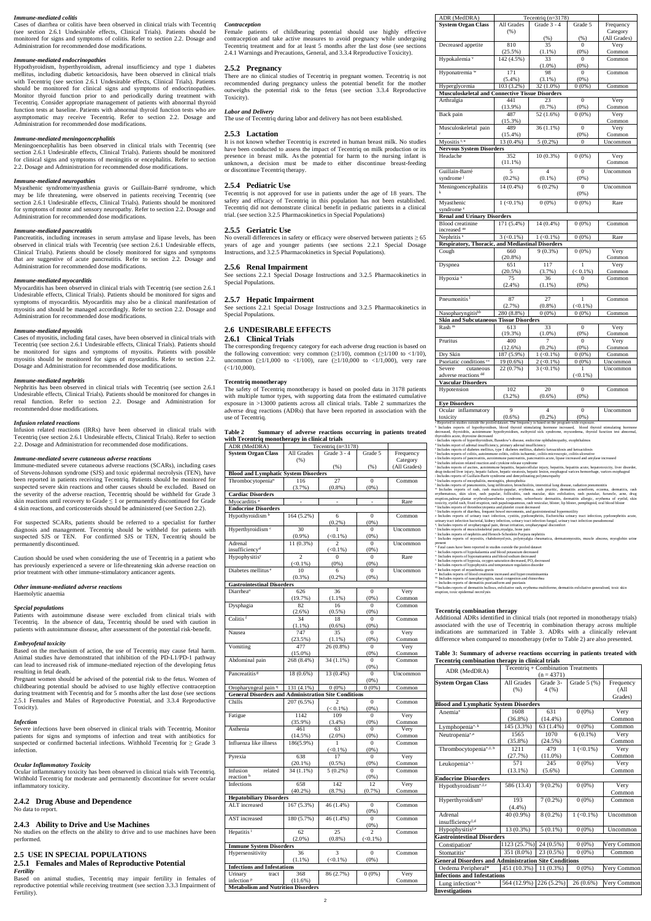#### *Immune-mediated colitis*

Cases of diarrhea or colitis have been observed in clinical trials with Tecentriq (see section 2.6.1 Undesirable effects, Clinical Trials). Patients should be monitored for signs and symptoms of colitis. Refer to section 2.2. Dosage and Administration for recommended dose modifications.

## *Immune-mediated endocrinopathies*

Hypothyroidism, hyperthyroidism, adrenal insufficiency and type 1 diabetes mellitus, including diabetic ketoacidosis, have been observed in clinical trials with Tecentriq (see section 2.6.1 Undesirable effects, Clinical Trials). Patients should be monitored for clinical signs and symptoms of endocrinopathies. Monitor thyroid function prior to and periodically during treatment with Tecentriq. Consider appropriate management of patients with abnormal thyroid function tests at baseline. Patients with abnormal thyroid function tests who are asymptomatic may receive Tecentriq. Refer to section 2.2. Dosage and Administration for recommended dose modifications.

## *Immune-mediated meningoencephalitis*

Meningoencephalitis has been observed in clinical trials with Tecentriq (see section 2.6.1 Undesirable effects, Clinical Trials). Patients should be monitored for clinical signs and symptoms of meningitis or encephalitis. Refer to section 2.2. Dosage and Administration for recommended dose modifications.

### *Immune-mediated neuropathies*

Myasthenic syndrome/myasthenia gravis or Guillain-Barré syndrome, which may be life threatening, were observed in patients receiving Tecentriq (see section 2.6.1 Undesirable effects, Clinical Trials). Patients should be monitored for symptoms of motor and sensory neuropathy. Refer to section 2.2. Dosage and Administration for recommended dose modifications.

#### *Immune-mediated pancreatitis*

Pancreatitis, including increases in serum amylase and lipase levels, has been observed in clinical trials with Tecentriq (see section 2.6.1 Undesirable effects, Clinical Trials). Patients should be closely monitored for signs and symptoms that are suggestive of acute pancreatitis. Refer to section 2.2. Dosage and Administration for recommended dose modifications.

#### *Immune-mediated myocarditis*

Myocarditis has been observed in clinical trials with Tecentriq (see section 2.6.1 Undesirable effects, Clinical Trials). Patients should be monitored for signs and symptoms of myocarditis. Myocarditis may also be a clinical manifestation of myositis and should be managed accordingly. Refer to section 2.2. Dosage and Administration for recommended dose modifications.

Patients with autoimmune disease were excluded from clinical trials with Tecentriq. In the absence of data, Tecentriq should be used with caution in patients with autoimmune disease, after assessment of the potential risk-benefit.

#### *Immune-mediated myositis*

Cases of myositis, including fatal cases, have been observed in clinical trials with Tecentriq (see section 2.6.1 Undesirable effects, Clinical Trials). Patients should be monitored for signs and symptoms of myositis. Patients with possible myositis should be monitored for signs of myocarditis. Refer to section 2.2. Dosage and Administration for recommended dose modifications.

#### *Immune-mediated nephritis*

Nephritis has been observed in clinical trials with Tecentriq (see section 2.6.1 Undesirable effects, Clinical Trials). Patients should be monitored for changes in renal function. Refer to section 2.2. Dosage and Administration for recommended dose modifications.

#### *Infusion related reactions*

Infusion related reactions (IRRs) have been observed in clinical trials with Tecentriq (see section 2.6.1 Undesirable effects, Clinical Trials). Refer to section 2.2. Dosage and Administration for recommended dose modifications.

#### *Immune-mediated severe cutaneous adverse reactions*

Immune-mediated severe cutaneous adverse reactions (SCARs), including cases of Stevens-Johnson syndrome (SJS) and toxic epidermal necrolysis (TEN), have been reported in patients receiving Tecentriq. Patients should be monitored for suspected severe skin reactions and other causes should be excluded. Based on the severity of the adverse reaction, Tecentriq should be withheld for Grade 3 skin reactions until recovery to Grade  $\leq 1$  or permanently discontinued for Grade 4 skin reactions, and corticosteroids should be administered (see Section 2.2).

No overall differences in safety or efficacy were observed between patients  $\geq 65$ years of age and younger patients (see sections 2.2.1 Special Dosage Instructions, and 3.2.5 Pharmacokinetics in Special Populations).

The corresponding frequency category for each adverse drug reaction is based on the following convention: very common ( $\geq 1/10$ ), common ( $\geq 1/100$  to  $\lt 1/10$ ), uncommon ( $\geq$ 1/1,000 to <1/100), rare ( $\geq$ 1/10,000 to <1/1,000), very rare  $(<1/10,000)$ .

For suspected SCARs, patients should be referred to a specialist for further diagnosis and management. Tecentriq should be withheld for patients with suspected SJS or TEN. For confirmed SJS or TEN, Tecentriq should be permanently discontinued.

Caution should be used when considering the use of Tecentriq in a patient who has previously experienced a severe or life-threatening skin adverse reaction on prior treatment with other immune-stimulatory anticancer agents.

#### *Other immune-mediated adverse reactions*

Haemolytic anaemia

## *Special populations*

### *Embryofetal toxicity*

Based on the mechanism of action, the use of Tecentriq may cause fetal harm. Animal studies have demonstrated that inhibition of the PD-L1/PD-1 pathway can lead to increased risk of immune-mediated rejection of the developing fetus resulting in fetal death.

Pregnant women should be advised of the potential risk to the fetus. Women of childbearing potential should be advised to use highly effective contraception during treatment with Tecentriq and for 5 months after the last dose (see sections 2.5.1 Females and Males of Reproductive Potential, and 3.3.4 Reproductive Toxicity).

## *Infection*

Severe infections have been observed in clinical trials with Tecentriq. Monitor patients for signs and symptoms of infection and treat with antibiotics for suspected or confirmed bacterial infections. Withhold Tecentriq for  $\geq$  Grade 3 infection.

### *Ocular Inflammatory Toxicity*

Ocular inflammatory toxicity has been observed in clinical trials with Tecentriq. Withhold Tecentriq for moderate and permanently discontinue for severe ocular inflammatory toxicity.

## **2.4.2 Drug Abuse and Dependence**

No data to report.

## **2.4.3 Ability to Drive and Use Machines**

No studies on the effects on the ability to drive and to use machines have been performed.

## **2.5 USE IN SPECIAL POPULATIONS**

## **2.5.1 Females and Males of Reproductive Potential** *Fertility*

Based on animal studies, Tecentriq may impair fertility in females of reproductive potential while receiving treatment (see section 3.3.3 Impairment of Fertility).

## *Contraception*

Female patients of childbearing potential should use highly effective contraception and take active measures to avoid pregnancy while undergoing Tecentriq treatment and for at least 5 months after the last dose (see sections 2.4.1 Warnings and Precautions, General, and 3.3.4 Reproductive Toxicity).

## **2.5.2 Pregnancy**

There are no clinical studies of Tecentriq in pregnant women. Tecentriq is not recommended during pregnancy unless the potential benefit for the mother outweighs the potential risk to the fetus (see section 3.3.4 Reproductive Toxicity).

#### *Labor and Delivery*

The use of Tecentriq during labor and delivery has not been established.

#### **2.5.3 Lactation**

It is not known whether Tecentriq is excreted in human breast milk. No studies have been conducted to assess the impact of Tecentriq on milk production or its presence in breast milk. As the potential for harm to the nursing infant is unknown, a decision must be made to either discontinue breast-feeding or discontinue Tecentriq therapy.

## **2.5.4 Pediatric Use**

Tecentriq is not approved for use in patients under the age of 18 years. The safety and efficacy of Tecentriq in this population has not been established. Tecentriq did not demonstrate clinical benefit in pediatric patients in a clinical trial. (see section 3.2.5 Pharmacokinetics in Special Populations)

### **2.5.5 Geriatric Use**

#### **2.5.6 Renal Impairment**

See sections 2.2.1 Special Dosage Instructions and 3.2.5 Pharmacokinetics in Special Populations.

## **2.5.7 Hepatic Impairment**

See sections 2.2.1 Special Dosage Instructions and 3.2.5 Pharmacokinetics in Special Populations.

## **2.6 UNDESIRABLE EFFECTS**

## **2.6.1 Clinical Trials**

### **Tecentriq monotherapy**

The safety of Tecentriq monotherapy is based on pooled data in 3178 patients with multiple tumor types, with supporting data from the estimated cumulative exposure in >13000 patients across all clinical trials. Table 2 summarizes the adverse drug reactions (ADRs) that have been reported in association with the use of Tecentriq.

| <b>Table 2</b> | Summary of adverse reactions occurring in patients treated |  |  |  |
|----------------|------------------------------------------------------------|--|--|--|
|                | with Tecentriq monotherapy in clinical trials              |  |  |  |

| ADR (MedDRA)                                                |                | Tecentriq $(n=3178)$        |                |              |
|-------------------------------------------------------------|----------------|-----------------------------|----------------|--------------|
| <b>System Organ Class</b>                                   | All Grades     | Grade 3 - 4                 | Grade 5        | Frequency    |
|                                                             | (% )           |                             |                | Category     |
|                                                             |                | (% )                        | $(\% )$        | (All Grades) |
| <b>Blood and Lymphatic System Disorders</b>                 |                |                             |                |              |
| Thromboc ytopenia <sup>n</sup>                              | 116            | 27                          | $\Omega$       | Common       |
|                                                             | (3.7%)         | $(0.8\%)$                   | $(0\%)$        |              |
| <b>Cardiac Disorders</b>                                    |                |                             |                |              |
| Myocarditis <sup>a</sup>                                    |                |                             |                |              |
|                                                             |                |                             |                | Rare         |
| <b>Endocrine Disorders</b>                                  |                |                             |                |              |
| Hypothyroidism <sup>b</sup>                                 | 164 (5.2%)     | 6                           | $\mathbf{0}$   | Common       |
|                                                             |                | (0.2%)                      | $(0\%)$        |              |
| Hyperthyroidism <sup>c</sup>                                | 30             | 1                           | $\mathbf{0}$   | Uncommon     |
|                                                             | $(0.9\%)$      | $(\le 0.1\%)$               | $(0\%)$        |              |
| Adrenal                                                     | 11 (0.3%)      | 2                           | $\mathbf{0}$   | Uncommon     |
| insufficiency <sup>d</sup>                                  |                | $(\leq 0.1\%)$              | $(0\%)$        |              |
| Hypophysitisy                                               | $\overline{c}$ | $\mathbf{0}$                | $\mathbf{0}$   | Rare         |
|                                                             | $(\leq 0.1\%)$ | $(0\%)$                     | $(0\%)$        |              |
| Diabetes mellitus <sup>e</sup>                              | 10             |                             | 0              | Uncommon     |
|                                                             | $(0.3\%)$      | $(0.2\%)$                   |                |              |
|                                                             |                |                             | $(0\%)$        |              |
| <b>Gastrointestinal Disorders</b>                           |                |                             |                |              |
| Diarrhea <sup>o</sup>                                       | 626            | 36                          | $\overline{0}$ | Very         |
|                                                             | (19.7%)        | $(1.1\%)$                   | (0%)           | Common       |
| Dysphagia                                                   | 82             | 16                          | $\theta$       | Common       |
|                                                             | $(2.6\%)$      | $(0.5\%)$                   | $(0\%)$        |              |
| Colitis <sup>f</sup>                                        | 34             | 18                          | $\Omega$       | Common       |
|                                                             | $(1.1\%)$      | $(0.6\%)$                   | $(0\%)$        |              |
| Nausea                                                      | 747            | 35                          | $\Omega$       | Very         |
|                                                             | (23.5%)        |                             | $(0\%)$        | Common       |
| Vomiting                                                    | 477            | $\frac{(1.1\%)}{26(0.8\%)}$ | $\mathbf{0}$   | Very         |
|                                                             | $(15.0\%)$     |                             | $(0\%)$        | Common       |
|                                                             | 268 (8.4%)     |                             | $\overline{0}$ |              |
| Abdominal pain                                              |                | 34 (1.1%)                   |                | Common       |
|                                                             |                |                             | (0%)           |              |
| Pancreatitis <sup>g</sup>                                   | 18 (0.6%)      | 13 (0.4%)                   | $\theta$       | Uncommon     |
|                                                             |                |                             | $(0\%)$        |              |
| Oropharyngeal pain q                                        | 131 (4.1%)     | $0(0\%)$                    | $0(0\%)$       | Common       |
| <b>General Disorders and Administration Site Conditions</b> |                |                             |                |              |
| Chills                                                      | 207 (6.5%)     |                             | $\overline{0}$ | Common       |
|                                                             |                | $(< 0.1\%)$                 | $(0\%)$        |              |
| Fatigue                                                     | 1142           | 109                         | $\Omega$       | Very         |
|                                                             | $(35.9\%)$     | $(3.4\%)$                   | $(0\%)$        | Common       |
| Asthenia                                                    | 461            | 63                          | $\Omega$       | Very         |
|                                                             | (14.5%)        | $(2.0\%)$                   | $(0\%)$        | Common       |
| Influenza like illness                                      | 186(5.9%)      | 1                           | $\mathbf{0}$   | Common       |
|                                                             |                | $(<0.1\%)$                  | $(0\%)$        |              |
|                                                             |                |                             |                |              |
| Pyrexia                                                     | 638            | 17                          | $\mathbf{0}$   | Very         |
|                                                             | $(20.1\%)$     | (0.5%)                      | $(0\%)$        | Common       |
| Infusion<br>related                                         | $34(1.1\%)$    | $5(0.2\%)$                  | $\mathbf{0}$   | Common       |
| reaction <sup>h</sup>                                       |                |                             | $(0\%)$        |              |
| Infections                                                  | 658            | 142                         | 12             | Very         |
|                                                             | $(40.2\%)$     | $(8.7\%)$                   | $(0.7\%)$      | Common       |
| <b>Hepatobiliary Disorders</b>                              |                |                             |                |              |
| ALT increased                                               | 167 (5.3%)     | 46 (1.4%)                   | $\overline{0}$ | Common       |
|                                                             |                |                             | (0%)           |              |
| AST increased                                               | 180 (5.7%)     | 46 (1.4%)                   | 0              | Common       |
|                                                             |                |                             | $(0\%)$        |              |
| Hepatitis <sup>i</sup>                                      | 62             | 25                          | 2              |              |
|                                                             |                |                             | $(<0.1\%)$     | Common       |
|                                                             | $(2.0\%)$      | (0.8%)                      |                |              |
|                                                             |                |                             |                |              |
| <b>Immune System Disorders</b>                              |                |                             |                |              |
| Hypersensitivity                                            | 36             | 3                           | $\mathbf{0}$   | Common       |
|                                                             | $(1.1\%)$      | $(\leq 0.1\%)$              | $(0\%)$        |              |
| <b>Infections and Infestations</b>                          |                |                             |                |              |
| Urinary<br>tract                                            | 368            | 86 (2.7%)                   | $0(0\%)$       | Very         |
| infection <sup>p</sup>                                      | (11.6%)        |                             |                | Common       |

| <b>System Organ Class</b>                               | All Grades               | Grade 3 - 4                  | Grade 5                 | Frequency                  |
|---------------------------------------------------------|--------------------------|------------------------------|-------------------------|----------------------------|
|                                                         | (% )                     |                              |                         | Category                   |
|                                                         |                          | (% )                         | (% )                    | (All Grades)               |
| Decreased appetite                                      | 810                      | 35                           | $\overline{0}$          | Very                       |
|                                                         | (25.5%)                  | $(1.1\%)$                    | $(0\%)$                 | Common                     |
| Hypokalemia <sup>v</sup>                                | $142(4.5\%)$             | 33                           | $\theta$                | Common                     |
|                                                         |                          | $(1.0\%)$                    | $(0\%)$                 |                            |
| Hyponatremia w                                          | 171                      | 98                           | $\theta$                | Common                     |
|                                                         | $(5.4\%)$                | $(3.1\%)$                    | $(0\%)$                 |                            |
| Hyperglycemia                                           | 103 (3.2%)               | 32 (1.0%)                    | $0(0\%)$                | Common                     |
| <b>Musculoskeletal and Connective Tissue Disorders</b>  |                          |                              |                         |                            |
| Arthralgia                                              | 441                      | 23                           | $\theta$                | Very                       |
|                                                         | $(13.9\%)$               | (0.7%)                       | $(0\%)$                 | Common                     |
| Back pain                                               | 487                      | 52 (1.6%)                    | $0(0\%)$                | Very                       |
|                                                         | $(15.3\%)$               |                              |                         | Common                     |
| Musculoskeletal pain                                    | 489                      | $36(1.1\%)$                  | $\overline{0}$          | Very                       |
|                                                         | $(15.4\%)$               |                              | $(0\%)$                 | Common                     |
| Myositis <sup>t, u</sup>                                | 13 (0.4%)                | $5(0.2\%)$                   | $\theta$                | Uncommon                   |
| <b>Nervous System Disorders</b>                         |                          |                              |                         |                            |
| Headache                                                | 352                      | 10 (0.3%)                    | $0(0\%)$                | Very                       |
|                                                         | $(11.1\%)$               |                              |                         | Common                     |
| Guillain-Barré                                          | 5                        | $\overline{4}$               | $\overline{0}$          | Uncommon                   |
| syndrome <sup>j</sup>                                   | $(0.2\%)$                | $(0.1\%)$                    | $(0\%)$                 |                            |
| Meningoencephalitis                                     | 14 (0.4%)                | $6(0.2\%)$                   | $\theta$                | Uncommon                   |
|                                                         |                          |                              | $(0\%)$                 |                            |
| Myasthenic                                              | $1 (< 0.1\%)$            | $0(0\%)$                     | $0(0\%)$                | Rare                       |
|                                                         |                          |                              |                         |                            |
| syndrome <sup>z</sup>                                   |                          |                              |                         |                            |
| <b>Renal and Urinary Disorders</b>                      |                          | 14 (0.4%)                    |                         | Common                     |
| Blood creatinine                                        | $171(5.4\%)$             |                              | $0(0\%)$                |                            |
| increased aa                                            |                          |                              |                         |                            |
| Nephritis <sup>s</sup>                                  | $3 \left( 0.1\% \right)$ | $1 (< 0.1\%)$                | $0(0\%)$                | Rare                       |
| <b>Respiratory, Thoracic, and Mediastinal Disorders</b> |                          |                              |                         |                            |
| Cough                                                   | 660                      | $9(0.3\%)$                   | $0(0\%)$                | Very                       |
|                                                         | (20.8%)<br>651           | 117                          | 1                       | Common<br>Very             |
| Dyspnea                                                 | $(20.5\%)$               | (3.7%)                       |                         |                            |
| Hypoxia <sup>x</sup>                                    | 75                       | 36                           | $(< 0.1\%)$<br>$\theta$ | Common<br>Common           |
|                                                         | $(2.4\%)$                | $(1.1\%)$                    | $(0\%)$                 |                            |
|                                                         |                          |                              |                         |                            |
| Pneumonitis <sup>1</sup>                                | 87                       | $\overline{27}$              | 1                       | Common                     |
|                                                         | $(2.7\%)$                | $(0.8\%)$                    | $(<0.1\%)$              |                            |
| Nasopharyngitisbb                                       | 280 (8.8%)               | $0(0\%)$                     | $0(0\%)$                | Common                     |
| <b>Skin and Subcutaneous Tissue Disorders</b>           |                          |                              |                         |                            |
| Rash <sup>m</sup>                                       | 613                      | 33                           | $\theta$                | Very                       |
|                                                         | (19.3%)                  | $(1.0\%)$                    | $(0\%)$                 | Common                     |
| Pruritus                                                | 400                      | 7                            | $\theta$                | Very                       |
|                                                         | (12.6%)                  | $(0.2\%)$                    | $(0\%)$                 | Common                     |
| Dry Skin                                                | 187 (5.9%)               | $1 (< 0.1\%)$                | $0(0\%)$                | $\overline{\text{Common}}$ |
| Psoriatic conditions cc                                 | 19 (0.6%)                | $2 \left( \le 0.1\% \right)$ | $0(0\%)$                | Uncommon                   |
| Severe<br>cutaneous                                     | 22 (0.7%)                | $3 \left( 0.1\% \right)$     | 1                       | Uncommon                   |
|                                                         |                          |                              |                         |                            |
| adverse reactions dd                                    |                          |                              | $(<0.1\%)$              |                            |
| <b>Vascular Disorders</b>                               | 102                      | 20                           | $\theta$                |                            |
| Hypotension                                             |                          |                              | $(0\%)$                 | Common                     |
|                                                         | (3.2%)                   | $(0.6\%)$                    |                         |                            |
| <b>Eye Disorders</b>                                    | 9                        | $\overline{4}$               | $\theta$                |                            |
| Ocular inflammatory                                     |                          |                              |                         | Uncommon                   |
| toxicity                                                | (0.6% )                  | $(0.2\%)$                    | $(0\%)$                 |                            |

ADR (MedDRA) Tecentriq (n=3178)

 $\frac{1}{2} \frac{1}{2} \frac{1}{2} \frac{1}{2} \frac{1}{2} \frac{1}{2} \frac{1}{2} \frac{1}{2} \frac{1}{2} \frac{1}{2} \frac{1}{2} \frac{1}{2} \frac{1}{2} \frac{1}{2} \frac{1}{2} \frac{1}{2} \frac{1}{2} \frac{1}{2} \frac{1}{2} \frac{1}{2} \frac{1}{2} \frac{1}{2} \frac{1}{2} \frac{1}{2} \frac{1}{2} \frac{1}{2} \frac{1}{2} \frac{1}{2} \frac{1}{2} \frac{1}{2} \frac{1}{2} \frac{$ 

drug-induced liver injury, hepatic failure, hepatic steatosis, hepatic lesion, esophageal varices hemorrhage, varices esophageal<br><sup>1</sup> Includes reports of Guillain-Barre syndrome and demyelinating polyneuropathy<br><sup>1</sup> Includes

<sup>m</sup> Includes reports of rash, rash maculo-papular, erythema, rash pruritic, dermatisi acneiform, eczema, dematisis, rash<br>erythematous, skin ulcer, rash papular, folliculitis, rash macular, skin exfoliation, rash pusular, f

urinary tract infection bacterial, kidney infection, urinary tract infection fungal, urinary tract infection pseudo %. Includes reports of oropharyngeal pain, throat irritation, oropharyngeal discomfort<br>\* Includes reports of musculoskeletal pain,myalgia, bone pain<br>\* Includes reports of nephritis and Henoch-Schonlein Purpura nephritis<br>\*

present<br>
are Fatal cases have been reported in studies outside the pooled dataset<br>
Fatal cases have been reported in studies outside the pooled solution<br>
<sup>w</sup> Includes reports of hyponatraemia and blood solution decreased<br>

b. Includes reports of nasopharyngitis, nasal congestion and rhinorrhea

<sup>oc.</sup> Includes reports of dermatitis psoriasiform and psoriasis<br><sup>41</sup> Includes reports of dermatitis bullous, exfoliative rash, erythema multiforme, dermatitis exfoliative generalised, toxic skin<br>eruption, toxic epidermal n

## **Tecentriq combination therapy**

Additional ADRs identified in clinical trials (not reported in monotherapy trials) associated with the use of Tecentriq in combination therapy across multiple indications are summarized in Table 3. ADRs with a clinically relevant difference when compared to monotherapy (refer to Table 2) are also presented.

### **Table 3: Summary of adverse reactions occurring in patients treated with Tecentriq combination therapy in clinical trials**

| гессиите сополнанон итегару ні синкат итаю                  |                        |              |                                    |                    |
|-------------------------------------------------------------|------------------------|--------------|------------------------------------|--------------------|
| ADR (MedDRA)                                                |                        |              | Tecentriq + Combination Treatments |                    |
|                                                             |                        | $(n = 4371)$ |                                    |                    |
| <b>System Organ Class</b>                                   | All Grades             | Grade 3-     | Grade $5(%)$                       | Frequency          |
|                                                             | (% )                   | 4(%)         |                                    | (A <sup>11</sup> ) |
|                                                             |                        |              |                                    | Grades)            |
| <b>Blood and Lymphatic System Disorders</b>                 |                        |              |                                    |                    |
| Anemia*                                                     | 1608                   | 631          | $0(0\%)$                           | Very               |
|                                                             | $(36.8\%)$             | $(14.4\%)$   |                                    | Common             |
| Lymphopenia*, k                                             | 145 (3.3%)             | 63 (1.4%)    | $0(0\%)$                           | Common             |
| Neutropenia*,a                                              | 1565                   | 1070         | $6(0.1\%)$                         | Very               |
|                                                             | $(35.8\%)$             | (24.5%)      |                                    | Common             |
| Thrombocytopenia*, <sup>‡, b</sup>                          | 1211                   | 479          | $1 (< 0.1\%)$                      | Very               |
|                                                             | (27.7%)                | $(11.0\%)$   |                                    | Common             |
| Leukopenia*,i                                               | 571                    | 245          | $0(0\%)$                           | Very               |
|                                                             | $(13.1\%)$             | $(5.6\%)$    |                                    | Common             |
| <b>Endocrine Disorders</b>                                  |                        |              |                                    |                    |
| Hypothyroidism*,‡,c                                         | 586 (13.4)             | $9(0.2\%)$   | $0(0\%)$                           | Very               |
|                                                             |                        |              |                                    | Common             |
| Hyperthyroidism <sup>‡</sup>                                | 193                    | $7(0.2\%)$   | $0(0\%)$                           | Common             |
|                                                             | $(4.4\%)$              |              |                                    |                    |
| Adrenal                                                     | 40 (0.9%)              | $8(0.2\%)$   | $1 (< 0.1\%)$                      | Uncommon           |
| insufficiency <sup>‡,d</sup>                                |                        |              |                                    |                    |
| Hypophysitis <sup>‡,e</sup>                                 | 13 (0.3%)              | $5(0.1\%)$   | $0(0\%)$                           | Uncommon           |
| <b>Gastrointestinal Disorders</b>                           |                        |              |                                    |                    |
| Constipation*                                               | 1123 (25.7%)           | 24 (0.5%)    | $0(0\%)$                           | Very Common        |
| Stomatitis*                                                 | 351 (8.0%)             | 23 (0.5%)    | $0(0\%)$                           | Common             |
| <b>General Disorders and Administration Site Conditions</b> |                        |              |                                    |                    |
| Oedema Peripheral*                                          | 451 (10.3%)            | 11 (0.3%)    | $0(0\%)$                           | Very Common        |
| <b>Infections and Infestations</b>                          |                        |              |                                    |                    |
| Lung infection*,h                                           | 564 (12.9%) 226 (5.2%) |              | $26(0.6\%)$                        | Very Common        |
| <b>Investigations</b>                                       |                        |              |                                    |                    |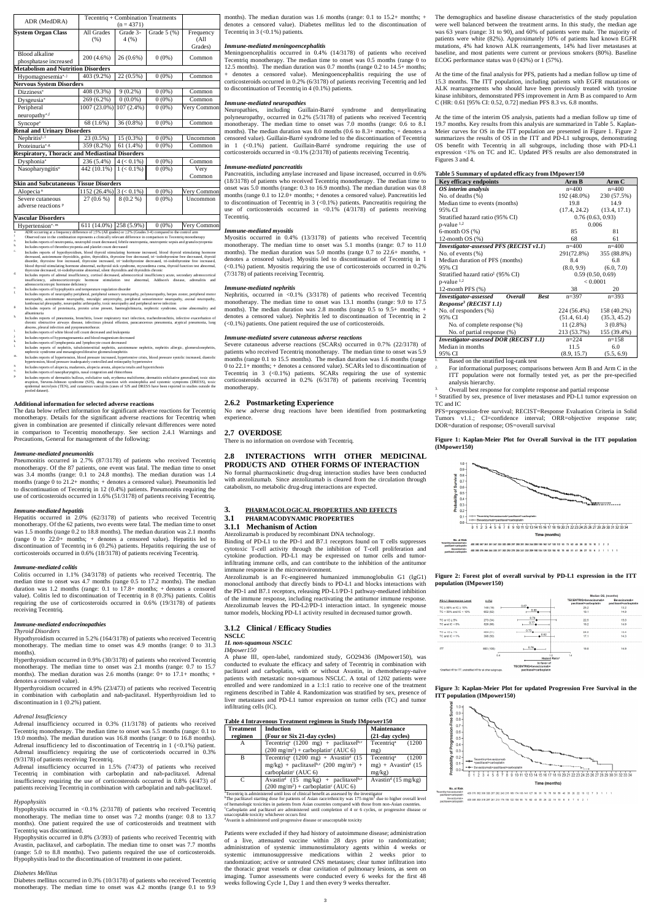| ADR (MedDRA)                                           | Tecentriq + Combination Treatments |               |              |                    |
|--------------------------------------------------------|------------------------------------|---------------|--------------|--------------------|
|                                                        |                                    | $(n = 4371)$  |              |                    |
| <b>System Organ Class</b>                              | All Grades                         | Grade 3-      | Grade $5(%)$ | Frequency          |
|                                                        | (% )                               | 4(%)          |              | (A <sup>11</sup> ) |
|                                                        |                                    |               |              | Grades)            |
| Blood alkaline                                         | 200 (4.6%)                         | 26 (0.6%)     | $0(0\%)$     | Common             |
| phosphatase increased                                  |                                    |               |              |                    |
| <b>Metabolism and Nutrition Disorders</b>              |                                    |               |              |                    |
| Hypomagnesemia*,j                                      | 403 (9.2%)                         | 22 (0.5%)     | $0(0\%)$     | Common             |
| <b>Nervous System Disorders</b>                        |                                    |               |              |                    |
| Dizziness*                                             | 408 (9.3%)                         | $9(0.2\%)$    | $0(0\%)$     | Common             |
| Dysgeusia*                                             | 269 (6.2%)                         | $0(0.0\%)$    | $0(0\%)$     | Common             |
| Peripheral                                             | 1007 (23.0%)                       | $107(2.4\%)$  | $0(0\%)$     | Very Common        |
| neuropathy*,f                                          |                                    |               |              |                    |
| Syncope*                                               | 68 (1.6%)                          | 36 (0.8%)     | $0(0\%)$     | Common             |
| <b>Renal and Urinary Disorders</b>                     |                                    |               |              |                    |
| Nephritis $\frac{1}{2}$ .                              | 23 (0.5%)                          | 15 (0.3%)     | $0(0\%)$     | Uncommon           |
| Proteinuria*,g                                         | 359 (8.2%)                         | 61 (1.4%)     | $0(0\%)$     | Common             |
| <b>Respiratory, Thoracic and Mediastinal Disorders</b> |                                    |               |              |                    |
| Dysphonia*                                             | 236 (5.4%)                         | $4 (< 0.1\%)$ | $0(0\%)$     | Common             |
| Nasopharyngitis <sup>o</sup>                           | 442 (10.1%)                        | $1 (< 0.1\%)$ | $0(0\%)$     | Very               |
|                                                        |                                    |               |              | Common             |
| <b>Skin and Subcutaneous Tissue Disorders</b>          |                                    |               |              |                    |
| Alopecia <sup>n</sup>                                  | 1152 (26.4%)                       | $3 (< 0.1\%)$ | $0(0\%)$     | Very Common        |
| Severe cutaneous                                       | $27(0.6\%)$                        | $8(0.2\%)$    | $0(0\%)$     | Uncommon           |
| adverse reactions P                                    |                                    |               |              |                    |

#### **Vascular Disorders**

Hypertension\*,<sup>m</sup>  $\begin{array}{|l|l|}\n\hline\n611 (14.0%) & 258 (5.9%) & 0 (0%) & \nVery Common\n\end{array}$ 

- urring at a frequency difference of ≥5% (All grades) or ≥2% (Grades 3-4) compared to the co ts a clinically relevant difference in comparison to Tecentriq monotherapy a. Includes reports of neutropenia, neutrophil count decreased, febrile neutropenia, neutropenic sepsis and granulocytopenia
- 
- he ludes reports of thrombocytopenia and platelet count decreased<br>
c. Includes reports of hypothyroidsm, blood thyroid stimulating hormone<br>
decreased, autoimmune thyroiditis, goire, thyroiditis, thyroxine free decreased, t
- $^\text{d}$  Includes reports of a<br>dreanl insufficiency, cortisol decreased, adrenocotrical insufficiency<br> $_\text{active}$  adrenocotrical insufficiency, adrenocotrical insufficiency, adrenocotrical<br>insufficiency adrenocotrical adrenoco
- 
- 
- h. Includes reports of pneumonia, bronchitis, lower respiratory tract infection, tracheobronchitis, infective exacerbation of chronic obstructive airvays disease, infective promic obstructive airvays disease, infectious pl
- 
- i. Includes reports of white blood cell count decreased and leukopenia
- 
- 
- Findly are reports of hypomagnesaemia and blood magnesium decreased<br>
Includes reports of lymphopenia and lymphocyte count decreased<br>
1. Includes reports of nephritics, unuloiniterativial nephritics alteriative<br>
1. Includes
- 
- 
- 
- $\alpha$ . Includes reports of nasopharyngitis, nasal congestion and rhinorrhoea<br>  $\beta$  Includes reports of dermatitis bullous, exfoliative rash, erythema multiforme, dermatitis exfoliative generalised, toxic skin<br>
eruption, St epidermal necro<br>pooled dataset).

combination with carboplatin and nab-paclitaxel. Hyperthyroidism discontinuation in 1 (0.2%) patient.

### **Additional information for selected adverse reactions**

The data below reflect information for significant adverse reactions for Tecentriq monotherapy. Details for the significant adverse reactions for Tecentriq when given in combination are presented if clinically relevant differences were noted in comparison to Tecentriq monotherapy. See section 2.4.1 Warnings and Precautions, General for management of the following:

#### *Immune-mediated pneumonitis*

Pneumonitis occurred in 2.7% (87/3178) of patients who received Tecentriq monotherapy. Of the 87 patients, one event was fatal. The median time to onset was 3.4 months (range: 0.1 to 24.8 months). The median duration was 1.4 months (range 0 to 21.2+ months; + denotes a censored value). Pneumonitis led to discontinuation of Tecentriq in 12 (0.4%) patients. Pneumonitis requiring the use of corticosteroids occurred in 1.6% (51/3178) of patients receiving Tecentriq.

#### *Immune-mediated hepatitis*

Nephritis, occurred in <0.1% (3/3178) of patients who received Tecentriq monotherapy. The median time to onset was 13.1 months (range: 9.0 to 17.5 months). The median duration was 2.8 months (range 0.5 to 9.5+ months; + denotes a censored value). Nephritis led to discontinuation of Tecentriq in 2 (<0.1%) patients. One patient required the use of corticosteroids.

Hepatitis occurred in 2.0% (62/3178) of patients who received Tecentriq monotherapy. Of the 62 patients, two events were fatal. The median time to onset was 1.5 months (range 0.2 to 18.8 months). The median duration was 2.1 months (range 0 to 22.0+ months; + denotes a censored value). Hepatitis led to discontinuation of Tecentriq in 6 (0.2%) patients. Hepatitis requiring the use of corticosteroids occurred in 0.6% (18/3178) of patients receiving Tecentriq.

#### *Immune-mediated colitis*

Colitis occurred in 1.1% (34/3178) of patients who received Tecentriq. The median time to onset was 4.7 months (range 0.5 to 17.2 months). The median duration was 1.2 months (range: 0.1 to 17.8+ months; + denotes a censored value). Colitis led to discontinuation of Tecentriq in 8 (0.3%) patients. Colitis requiring the use of corticosteroids occurred in 0.6% (19/3178) of patients receiving Tecentriq.

### *Immune-mediated endocrinopathies*

## *Thyroid Disorders*

Hypothyroidism occurred in 5.2% (164/3178) of patients who received Tecentriq monotherapy. The median time to onset was 4.9 months (range: 0 to 31.3 months). Hyperthyroidism occurred in 0.9% (30/3178) of patients who received Tecentriq

monotherapy. The median time to onset was 2.1 months (range: 0.7 to 15.7 months). The median duration was 2.6 months (range: 0+ to 17.1+ months; + denotes a censored value). Hyperthyroidism occurred in 4.9% (23/473) of patients who received Tecentriq

#### *Adrenal Insufficiency*

Adrenal insufficiency occurred in 0.3% (11/3178) of patients who received Tecentriq monotherapy. The median time to onset was 5.5 months (range: 0.1 to 19.0 months). The median duration was 16.8 months (range: 0 to 16.8 months). Adrenal insufficiency led to discontinuation of Tecentriq in  $1$  (<0.1%) patient. Adrenal insufficiency requiring the use of corticoteriods occurred in 0.3% (9/3178) of patients receiving Tecentriq.

Adrenal insufficiency occurred in 1.5% (7/473) of patients who received Tecentriq in combination with carboplatin and nab-paclitaxel. Adrenal insufficiency requiring the use of corticosteroids occurred in 0.8% (4/473) of patients receiving Tecentriq in combination with carboplatin and nab-paclitaxel.

#### *Hypophysitis*

Hypophysitis occurred in <0.1% (2/3178) of patients who received Tecentriq monotherapy. The median time to onset was 7.2 months (range: 0.8 to 13.7 months). One patient required the use of corticosteroids and treatment with Tecentriq was discontinued.

Hypophysitis occurred in 0.8% (3/393) of patients who received Tecentriq with Avastin, paclitaxel, and carboplatin. The median time to onset was 7.7 months (range: 5.0 to 8.8 months). Two patients required the use of corticosteroids. Hypophysitis lead to the discontinuation of treatment in one patient.

#### *Diabetes Mellitus*

Diabetes mellitus occurred in 0.3% (10/3178) of patients who received Tecentriq monotherapy. The median time to onset was 4.2 months (range 0.1 to 9.9

months). The median duration was 1.6 months (range: 0.1 to 15.2+ months; + denotes a censored value). Diabetes mellitus led to the discontinuation of Tecentriq in 3 (<0.1%) patients.

## *Immune-mediated meningoencephalitis*

Meningoencephalitis occurred in 0.4% (14/3178) of patients who received Tecentriq monotherapy. The median time to onset was 0.5 months (range 0 to 12.5 months). The median duration was 0.7 months (range 0.2 to 14.5+ months; + denotes a censored value). Meningoencephalitis requiring the use of corticosteroids occurred in 0.2% (6/3178) of patients receiving Tecentriq and led to discontinuation of Tecentriq in 4 (0.1%) patients.

#### *Immune-mediated neuropathies*

Neuropathies, including Guillain-Barré syndrome and demyelinating polyneuropathy, occurred in 0.2% (5/3178) of patients who received Tecentriq monotherapy. The median time to onset was 7.0 months (range: 0.6 to 8.1 months). The median duration was 8.0 months (0.6 to 8.3+ months; + denotes a censored value). Guillain-Barré syndrome led to the discontinuation of Tecentriq in 1 (<0.1%) patient. Guillain-Barré syndrome requiring the use of corticosteroids occurred in <0.1% (2/3178) of patients receiving Tecentriq.

#### *Immune-mediated pancreatitis*

Pancreatitis, including amylase increased and lipase increased, occurred in 0.6% (18/3178) of patients who received Tecentriq monotherapy. The median time to onset was 5.0 months (range: 0.3 to 16.9 months). The median duration was 0.8 months (range 0.1 to 12.0+ months; + denotes a censored value). Pancreatitis led to discontinuation of Tecentriq in  $3$  (<0.1%) patients. Pancreatitis requiring the use of corticosteroids occurred in <0.1% (4/3178) of patients receiving Tecentriq.

#### *Immune-mediated myositis*

Myositis occurred in 0.4% (13/3178) of patients who received Tecentriq monotherapy. The median time to onset was 5.1 months (range: 0.7 to 11.0 months). The median duration was 5.0 months (range 0.7 to 22.6+ months, + denotes a censored value). Myositis led to discontinuation of Tecentriq in 1 (<0.1%) patient. Myositis requiring the use of corticosteroids occurred in 0.2% (7/3178) of patients receiving Tecentriq.

#### *Immune-mediated nephritis*

#### *Immune-mediated severe cutaneous adverse reactions*

Severe cutaneous adverse reactions (SCARs) occurred in 0.7% (22/3178) of patients who received Tecentriq monotherapy. The median time to onset was 5.9 months (range 0.1 to 15.5 months). The median duration was 1.6 months (range 0 to 22.1+ months; + denotes a censored value). SCARs led to discontinuation of Tecentriq in 3 (<0.1%) patients. SCARs requiring the use of systemic corticosteroids occurred in 0.2% (6/3178) of patients receiving Tecentriq monotherapy.

## **2.6.2 Postmarketing Experience**

No new adverse drug reactions have been identified from postmarketing experience.

### **2.7 OVERDOSE**

There is no information on overdose with Tecentriq.

## **2.8 INTERACTIONS WITH OTHER MEDICINAL PRODUCTS AND OTHER FORMS OF INTERACTION**

No formal pharmacokinetic drug-drug interaction studies have been conducted with atezolizumab. Since atezolizumab is cleared from the circulation through catabolism, no metabolic drug-drug interactions are expected.

### **3. PHARMACOLOGICAL PROPERTIES AND EFFECTS 3.1 PHARMACODYNAMIC PROPERTIES**

## **3.1.1 Mechanism of Action**

Atezolizumab is produced by recombinant DNA technology.

Binding of PD-L1 to the PD-1 and B7.1 receptors found on T cells suppresses cytotoxic T-cell activity through the inhibition of T-cell proliferation and cytokine production. PD-L1 may be expressed on tumor cells and tumorinfiltrating immune cells, and can contribute to the inhibition of the antitumor immune response in the microenvironment.

Atezolizumab is an Fc-engineered humanized immunoglobulin G1 (IgG1) monoclonal antibody that directly binds to PD-L1 and blocks interactions with the PD-1 and B7.1 receptors, releasing PD-L1/PD-1 pathway-mediated inhibition of the immune response, including reactivating the antitumor immune response. Atezolizumab leaves the PD-L2/PD-1 interaction intact. In syngeneic mouse tumor models, blocking PD-L1 activity resulted in decreased tumor growth.

## **3.1.2 Clinical / Efficacy Studies NSCLC**

### *1L non-squamous NSCLC IMpower150*

A phase III, open-label, randomized study, GO29436 (IMpower150), was conducted to evaluate the efficacy and safety of Tecentriq in combination with paclitaxel and carboplatin, with or without Avastin, in chemotherapy-naïve patients with metastatic non-squamous NSCLC. A total of 1202 patients were enrolled and were randomized in a 1:1:1 ratio to receive one of the treatment regimens described in Table 4. Randomization was stratified by sex, presence of liver metastases and PD-L1 tumor expression on tumor cells (TC) and tumor infiltrating cells (IC).

| Table 4 Intravenous Treatment regimens in Study IMpower150 |  |  |  |
|------------------------------------------------------------|--|--|--|
|                                                            |  |  |  |

| Treatment | <b>Induction</b>                                                 | <b>Maintenance</b>                |
|-----------|------------------------------------------------------------------|-----------------------------------|
| regimen   | (Four or Six 21-day cycles)                                      | $(21$ -day cycles)                |
| A         | Tecentriq <sup>a</sup> (1200 mg) + paclitaxel <sup>b,c</sup>     | Tecentriq <sup>a</sup> $(1200$    |
|           | $(200 \text{ mg/m}^2)$ + carboplatin <sup>c</sup> (AUC 6)        | mg)                               |
| B         | Tecentriq <sup>a</sup> (1200 mg) + Avastin <sup>d</sup> (15      | Tecentriq <sup>a</sup> $(1200$    |
|           | $mg/kg$ ) + paclitaxel <sup>b,c</sup> (200 mg/m <sup>2</sup> ) + | $mg$ ) + Avastin <sup>d</sup> (15 |
|           | carboplatin <sup>c</sup> (AUC $6$ )                              | mg/kg)                            |
|           | Avastin <sup>d</sup> (15 mg/kg) + paclitaxel <sup>b,c</sup>      | Avastin <sup>d</sup> (15 mg/kg)   |
|           | $(200 \text{ mg/m}^2)$ + carboplatin <sup>c</sup> (AUC 6)        |                                   |



unacceptable toxicity whichever occurs first

<sup>d</sup>Avastin is administered until progressive disease or unacceptable toxicity

Patients were excluded if they had history of autoimmune disease; administration of a live, attenuated vaccine within 28 days prior to randomization; administration of systemic immunostimulatory agents within 4 weeks or systemic immunosuppressive medications within 2 weeks prior to randomization; active or untreated CNS metastases; clear tumor infiltration into the thoracic great vessels or clear cavitation of pulmonary lesions, as seen on imaging. Tumor assessments were conducted every 6 weeks for the first 48 weeks following Cycle 1, Day 1 and then every 9 weeks thereafter.

The demographics and baseline disease characteristics of the study population were well balanced between the treatment arms. In this study, the median age was 63 years (range: 31 to 90), and 60% of patients were male. The majority of patients were white (82%). Approximately 10% of patients had known EGFR mutations, 4% had known ALK rearrangements, 14% had liver metastases at baseline, and most patients were current or previous smokers (80%). Baseline ECOG performance status was 0 (43%) or 1 (57%).

At the time of the final analysis for PFS, patients had a median follow up time of 15.3 months. The ITT population, including patients with EGFR mutations or ALK rearrangements who should have been previously treated with tyrosine kinase inhibitors, demonstrated PFS improvement in Arm B as compared to Arm C (HR: 0.61 [95% CI: 0.52, 0.72] median PFS 8.3 vs. 6.8 months.

At the time of the interim OS analysis, patients had a median follow up time of 19.7 months. Key results from this analysis are summarized in Table 5. Kaplan-Meier curves for OS in the ITT population are presented in Figure 1. Figure 2 summarizes the results of OS in the ITT and PD-L1 subgroups, demonstrating OS benefit with Tecentriq in all subgroups, including those with PD-L1 expression <1% on TC and IC. Updated PFS results are also demonstrated in Figures 3 and 4.

## **Table 5 Summary of updated efficacy from IMpower150**

| <b>Key efficacy endpoints</b>                                        | Arm B        | Arm C            |
|----------------------------------------------------------------------|--------------|------------------|
| OS interim analysis                                                  | $n=400$      | $n=400$          |
| No. of deaths $(\%)$                                                 | 192 (48.0%)  | 230 (57.5%)      |
| Median time to events (months)                                       | 19.8         | 14.9             |
| 95% CI                                                               | (17.4, 24.2) | (13.4, 17.1)     |
| Stratified hazard ratio (95% CI)                                     |              | 0.76(0.63, 0.93) |
| $p$ -value $^{1,2}$                                                  |              | 0.006            |
| 6-month $OS(%)$                                                      | 85           | 81               |
| 12-month $OS(%)$                                                     | 68           | 61               |
| Investigator-assessed PFS (RECIST v1.1)                              | $n=400$      | $n=400$          |
| No. of events $(\%)$                                                 | 291(72.8%)   | 355 (88.8%)      |
| Median duration of PFS (months)                                      | 8.4          | 6.8              |
| 95% CI                                                               | (8.0, 9.9)   | (6.0, 7.0)       |
| Stratified hazard ratio <sup>‡</sup> (95% CI)                        |              | 0.59(0.50, 0.69) |
| $p$ -value $^{1,2}$                                                  | < 0.0001     |                  |
| 12-month PFS (%)                                                     | 38           | 20               |
| <b>Investigator-assessed</b><br><i><b>Overall</b></i><br><b>Best</b> | $n=397$      | $n=393$          |
| Response <sup>3</sup> (RECIST 1.1)                                   |              |                  |
| No. of responders $(\%)$                                             | 224 (56.4%)  | 158 (40.2%)      |
| 95% CI                                                               | (51.4, 61.4) | (35.3, 45.2)     |
| No. of complete response $(\%)$                                      | $11(2.8\%)$  | $3(0.8\%)$       |
| No. of partial response (%)                                          | 213 (53.7%)  | 155 (39.4%)      |
| <b>Investigator-assessed DOR (RECIST 1.1)</b>                        | $n=224$      | $n=158$          |
| Median in months                                                     | 11.5         | 6.0              |
| 95% CI                                                               | (8.9, 15.7)  | (5.5, 6.9)       |

1. Based on the stratified log-rank test

2. For informational purposes; comparisons between Arm B and Arm C in the ITT population were not formally tested yet, as per the pre-specified analysis hierarchy.

Overall best response for complete response and partial response

‡ Stratified by sex, presence of liver metastases and PD-L1 tumor expression on TC and IC

PFS=progression-free survival; RECIST=Response Evaluation Criteria in Solid Tumors v1.1.; CI=confidence interval; ORR=objective response rate; DOR=duration of response; OS=overall survival

**Figure 1: Kaplan-Meier Plot for Overall Survival in the ITT population (IMpower150)**



### **Figure 2: Forest plot of overall survival by PD-L1 expression in the ITT population (IMpower150)**

|                                                                         |           |                                                  | Median OS, (months)                              |                                        |
|-------------------------------------------------------------------------|-----------|--------------------------------------------------|--------------------------------------------------|----------------------------------------|
| <b>PD-L1 Expression Level</b>                                           | n(%)      |                                                  | TECENTRIQ+bevacizumab+<br>paclitaxel+carboplatin | Bevacizumab+<br>paclitaxel+carboplatin |
| TC ≥ 50% or IC ≥ 10%                                                    | 148 (19)  | 0.67.                                            | 25.2                                             | 13.2                                   |
| $TC < 50\%$ and $IC < 10\%$                                             | 652 (82)  | 0.80                                             | 19.1                                             | 14.9                                   |
| TC or IC ≥ 5%                                                           | 273 (34)  | 0.78                                             | 22.5                                             | 15.0                                   |
| $TC$ and $IC < 5\%$                                                     | 526 (66)  | 0.77                                             | 19.2                                             | 14.9                                   |
| TC or IC ≥ 1%                                                           | 404(51)   | 0.73                                             | 24.0                                             | 16.4                                   |
| TC and $IC < 1\%$                                                       | 396 (50)  | 0.82                                             | 17.1                                             | 14.3                                   |
| ITT                                                                     | 800 (100) | 0.76.                                            | 19.8                                             | 14.9                                   |
|                                                                         | 0.4       | 1.0<br><b>Hazard Ratio<sup>®</sup></b>           | 1.4                                              |                                        |
|                                                                         |           | In favor of                                      |                                                  |                                        |
| afterwithout LIP does ITT, constraints at LIP day of where a characters |           | TECENTRIQ+bevacizumab+<br>noolitavalaasehanlatin |                                                  |                                        |

**Figure 3: Kaplan-Meier Plot for updated Progression Free Survival in the**



262 240 215 189 174 163 141 127 96 91 76 75 58 55 40 35 26 22 13 12 7 3 1 1 1 400 385 353 318 297 261 213 176 154 122 104 93 74 62 43 35 26 22 16 15 8 8 7 6 2 1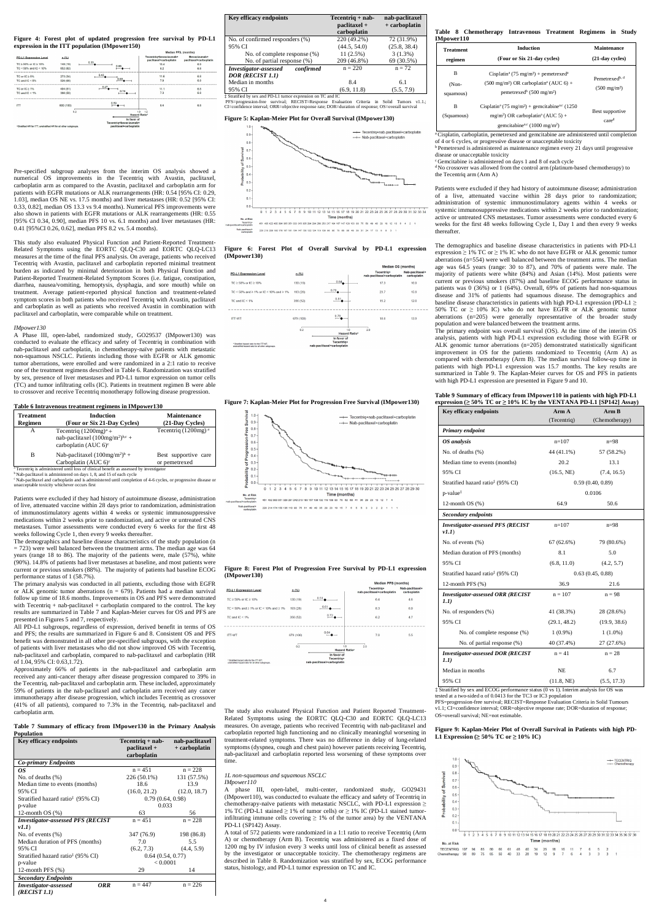**Figure 4: Forest plot of updated progression free survival by PD-L1 expression in the ITT population (IMpower150)**

|                                                                  |           |                             | Median PFS, (months)                             |                                        |
|------------------------------------------------------------------|-----------|-----------------------------|--------------------------------------------------|----------------------------------------|
| <b>PD-L1 Expression Level</b>                                    | n(%)      |                             | Tecentriq+bevacizumab+<br>paclitaxel+carboplatin | Bevacizumab+<br>paclitaxel+carboplatin |
| TC $\geq$ 50% or IC $\geq$ 10%                                   | 148 (19)  | 0.33<br>0.66                | 15.4                                             | 6.9                                    |
| $TC < 50\%$ and $IC < 10\%$                                      | 652 (82)  |                             | 8.2                                              | 6.8                                    |
| TC or $IC \geq 5\%$                                              | 273 (34)  | 0.43                        | 11.6                                             | 6.8                                    |
| TC and $IC < 5\%$                                                | 526 (66)  | 0.69                        | 7.9                                              | 6.8                                    |
| TC or $IC \geq 1\%$                                              | 404 (51)  | 0.47                        | 11.1                                             | 6.8                                    |
| TC and $IC < 1\%$                                                | 396 (50)  | 0.74                        | 7.3                                              | 6.8                                    |
| <b>ITT</b>                                                       | 800 (100) | 0.59                        | 8.4                                              | 6.8                                    |
|                                                                  | 0.2       | 1.0<br><b>Hazard Ratio*</b> | 1.2                                              |                                        |
|                                                                  |           | In favor of                 |                                                  |                                        |
|                                                                  |           | Tecentriq+bevacizumab+      |                                                  |                                        |
| *Stratified HR for ITT; unstratified HR for all other subgroups. |           | paclitaxel+carboplatin      |                                                  |                                        |

Pre-specified subgroup analyses from the interim OS analysis showed a numerical OS improvements in the Tecentriq with Avastin, paclitaxel, carboplatin arm as compared to the Avastin, paclitaxel and carboplatin arm for patients with EGFR mutations or ALK rearrangements (HR: 0.54 [95% CI: 0.29, 1.03], median OS NE vs. 17.5 months) and liver metastases (HR: 0.52 [95% CI: 0.33, 0.82], median OS 13.3 vs 9.4 months). Numerical PFS improvements were also shown in patients with EGFR mutations or ALK rearrangements (HR: 0.55 [95% CI 0.34, 0.90], median PFS 10 vs. 6.1 months) and liver metastases (HR: 0.41 [95%CI 0.26, 0.62], median PFS 8.2 vs. 5.4 months).

This study also evaluated Physical Function and Patient-Reported Treatment-Related Symptoms using the EORTC QLQ-C30 and EORTC QLQ-LC13 measures at the time of the final PFS analysis. On average, patients who received Tecentriq with Avastin, paclitaxel and carboplatin reported minimal treatment burden as indicated by minimal deterioration in both Physical Function and Patient-Reported Treatment-Related Symptom Scores (i.e. fatigue, constipation, diarrhea, nausea/vomiting, hemoptysis, dysphagia, and sore mouth) while on treatment. Average patient-reported physical function and treatment-related symptom scores in both patients who received Tecentriq with Avastin, paclitaxel and carboplatin as well as patients who received Avastin in combination with paclitaxel and carboplatin, were comparable while on treatment.

### *IMpower130*

A Phase III, open-label, randomized study, GO29537 (IMpower130) was conducted to evaluate the efficacy and safety of Tecentriq in combination with nab-paclitaxel and carboplatin, in chemotherapy-naïve patients with metastatic non-squamous NSCLC. Patients including those with EGFR or ALK genomic tumor aberrations, were enrolled and were randomized in a 2:1 ratio to receive one of the treatment regimens described in Table 6. Randomization was stratified by sex, presence of liver metastases and PD-L1 tumor expression on tumor cells (TC) and tumor infiltrating cells (IC). Patients in treatment regimen B were able to crossover and receive Tecentriq monotherapy following disease progression.

## **Table 6 Intravenous treatment regimens in IMpower130**

| <b>Treatment</b><br>Regimen | Induction<br>(Four or Six 21-Day Cycles)                                                                | <b>Maintenance</b><br>(21-Day Cycles) |
|-----------------------------|---------------------------------------------------------------------------------------------------------|---------------------------------------|
| А                           | Tecentriq $(1200mg)^a$ +<br>nab-paclitaxel $(100mg/m^2)^{b,c}$ +<br>carboplatin (AUC $6$ ) <sup>c</sup> | Tecentriq $(1200mg)$ <sup>a</sup>     |
| B                           | Nab-paclitaxel $(100mg/m^2)^b$ +<br>Carboplatin (AUC $6$ ) <sup>c</sup>                                 | Best supportive care<br>or pemetrexed |
|                             | <sup>a</sup> Tecentriq is administered until loss of clinical benefit as assessed by investigator       |                                       |

 $<sup>b</sup>$ Nab-paclitaxel is administered on days 1, 8, and 15 of each cycle</sup>

<sup>e</sup> Nab-paclitaxel and carboplatin and is administered until completion of 4-6 cycles, or progressive disease or unacceptable toxicity whichever occurs first table toxicity wh

Patients were excluded if they had history of autoimmune disease, administration of live, attenuated vaccine within 28 days prior to randomization, administration of immunostimulatory agents within 4 weeks or systemic immunosuppressive medications within 2 weeks prior to randomization, and active or untreated CNS metastases. Tumor assessments were conducted every 6 weeks for the first 48 weeks following Cycle 1, then every 9 weeks thereafter.

The demographics and baseline disease characteristics of the study population (n  $= 723$ ) were well balanced between the treatment arms. The median age was 64 years (range 18 to 86). The majority of the patients were, male (57%), white (90%). 14.8% of patients had liver metastases at baseline, and most patients were current or previous smokers (88%). The majority of patients had baseline ECOG performance status of 1 (58.7%).

The primary analysis was conducted in all patients, excluding those with EGFR or ALK genomic tumor aberrations ( $n = 679$ ). Patients had a median survival follow up time of 18.6 months. Improvements in OS and PFS were demonstrated with Tecentriq  $+$  nab-paclitaxel  $+$  carboplatin compared to the control. The key results are summarized in Table 7 and Kaplan-Meier curves for OS and PFS are presented in Figures 5 and 7, respectively.

All PD-L1 subgroups, regardless of expression, derived benefit in terms of OS and PFS; the results are summarized in Figure 6 and 8. Consistent OS and PFS benefit was demonstrated in all other pre-specified subgroups, with the exception of patients with liver metastases who did not show improved OS with Tecentriq, nab-paclitaxel and carboplatin, compared to nab-paclitaxel and carboplatin (HR of 1.04, 95% CI: 0.63,1.72).

Patients were excluded if they had history of autoimmune disease; administration of a live, attenuated vaccine within 28 days prior to randomization; administration of systemic immunostimulatory agents within 4 weeks or systemic immunosuppressive medications within 2 weeks prior to randomization; active or untreated CNS metastases. Tumor assessments were conducted every 6 weeks for the first 48 weeks following Cycle 1, Day 1 and then every 9 weeks thereafter

Approximately 66% of patients in the nab-paclitaxel and carboplatin arm received any anti-cancer therapy after disease progression compared to 39% in the Tecentriq, nab-paclitaxel and carboplatin arm. These included, approximately 59% of patients in the nab-paclitaxel and carboplatin arm received any cancer immunotherapy after disease progression, which includes Tecentriq as crossover (41% of all patients), compared to 7.3% in the Tecentriq, nab-paclitaxel and carboplatin arm.

**Table 7 Summary of efficacy from IMpower130 in the Primary Analysis Population**

The primary endpoint was overall survival (OS). At the time of the interim OS analysis, patients with high PD-L1 expression excluding those with EGFR or ALK genomic tumor aberrations (n=205) demonstrated statistically significant improvement in OS for the patients randomized to Tecentriq (Arm A) as compared with chemotherapy (Arm B). The median survival follow-up time in patients with high PD-L1 expression was 15.7 months. The key results are summarized in Table 9. The Kaplan-Meier curves for OS and PFS in patients with high PD-L1 expression are presented in Figure 9 and 10.

| <b>Key efficacy endpoints</b>                 | Tecentriq + nab-<br>nab-paclitaxel |               |  |
|-----------------------------------------------|------------------------------------|---------------|--|
|                                               | paclitaxel +                       | + carboplatin |  |
|                                               | carboplatin                        |               |  |
| <b>Co-primary Endpoints</b>                   |                                    |               |  |
| 0S                                            | $n = 451$                          | $n = 228$     |  |
| No. of deaths $(\%)$                          | 226 (50.1%)                        | 131 (57.5%)   |  |
| Median time to events (months)                | 18.6                               | 13.9          |  |
| 95% CI                                        | (16.0, 21.2)                       | (12.0, 18.7)  |  |
| Stratified hazard ratio <sup>‡</sup> (95% CI) | 0.79(0.64, 0.98)                   |               |  |
| p-value                                       | 0.033                              |               |  |
| 12-month $OS(%)$                              | 63                                 | 56            |  |
| <b>Investigator-assessed PFS (RECIST</b>      | $n = 451$                          | $n = 228$     |  |
| vI.1                                          |                                    |               |  |
| No. of events $(\%)$                          | 347 (76.9)                         | 198 (86.8)    |  |
| Median duration of PFS (months)               | 7.0                                | 5.5           |  |
| 95% CI                                        | (6.2, 7.3)                         | (4.4, 5.9)    |  |
| Stratified hazard ratio <sup>‡</sup> (95% CI) | 0.64(0.54, 0.77)                   |               |  |
| p-value                                       | < 0.0001                           |               |  |
| 12-month PFS $(\%)$                           | 29                                 | 14            |  |
| <b>Secondary Endpoints</b>                    |                                    |               |  |
| Investigator-assessed<br>ORR                  | $n = 447$                          | $n = 226$     |  |
| (RECIST 1.1)                                  |                                    |               |  |

| <b>Key efficacy endpoints</b>                             | $Tecentriq + nab -$<br>paclitaxel +<br>carboplatin | nab-paclitaxel<br>+ carboplatin |
|-----------------------------------------------------------|----------------------------------------------------|---------------------------------|
| No. of confirmed responders (%)                           | 220 (49.2%)                                        | 72 (31.9%)                      |
| 95% CI                                                    | (44.5, 54.0)                                       | (25.8, 38.4)                    |
| No. of complete response (%)                              | 11(2.5%)                                           | $3(1.3\%)$                      |
| No. of partial response (%)                               | 209 (46.8%)                                        | 69 (30.5%)                      |
| confirmed<br>Investigator-assessed                        | $n = 220$                                          | $n = 72$                        |
| DOR (RECIST 1.1)                                          |                                                    |                                 |
| Median in months                                          | 8.4                                                | 6.1                             |
| 95% CI                                                    | (6.9, 11.8)                                        | (5.5, 7.9)                      |
| Stratified by sex and PD-L1 tumor expression on TC and IC |                                                    |                                 |

‡ Stratified by sex and PD-L1 tumor expression on TC and IC<br>PFS=progression-free survival; RECIST=Response Evaluation Criteria in Solid Tumors v1.1.;<br>CI=confidence interval; ORR=objective response rate; DOR=duration of re

ed at a two-sided  $\alpha$  of 0.0413 for the TC3 or IC3 population PFS=progression-free survival; RECIST=Response Evaluation Criteria in Solid Tumours v1.1; CI=confidence interval; ORR=objective response rate; DOR=duration of response; OS=overall survival; NE=not estimable.

### **Figure 5: Kaplan-Meier Plot for Overall Survival (IMpower130)**











**Figure 8: Forest Plot of Progression Free Survival by PD-L1 expression (IMpower130)**



The study also evaluated Physical Function and Patient Reported Treatment-Related Symptoms using the EORTC QLQ-C30 and EORTC QLQ-LC13 measures. On average, patients who received Tecentriq with nab-paclitaxel and carboplatin reported high functioning and no clinically meaningful worsening in treatment-related symptoms. There was no difference in delay of lung-related symptoms (dyspnea, cough and chest pain) however patients receiving Tecentriq, nab-paclitaxel and carboplatin reported less worsening of these symptoms over time.

## *1L non-squamous and squamous NSCLC*

*IMpower110*

A phase III, open-label, multi-center, randomized study, GO29431 (IMpower110), was conducted to evaluate the efficacy and safety of Tecentriq in chemotherapy-naïve patients with metastatic NSCLC, with PD-L1 expression  $\geq$ 1% TC (PD-L1 stained  $\geq$  1% of tumor cells) or  $\geq$  1% IC (PD-L1 stained tumorinfiltrating immune cells covering  $\geq$  1% of the tumor area) by the VENTANA PD-L1 (SP142) Assay.

A total of 572 patients were randomized in a 1:1 ratio to receive Tecentriq (Arm A) or chemotherapy (Arm B). Tecentriq was administered as a fixed dose of 1200 mg by IV infusion every 3 weeks until loss of clinical benefit as assessed by the investigator or unacceptable toxicity. The chemotherapy regimens are described in Table 8. Randomization was stratified by sex, ECOG performance status, histology, and PD-L1 tumor expression on TC and IC.

|            | Table 8 Chemotherapy Intravenous Treatment Regimens in Study |  |  |  |
|------------|--------------------------------------------------------------|--|--|--|
| IMpower110 |                                                              |  |  |  |

| <b>Treatment</b>        | <b>Induction</b>                                                                                                                                                                                        |                                                      |
|-------------------------|---------------------------------------------------------------------------------------------------------------------------------------------------------------------------------------------------------|------------------------------------------------------|
| regimen                 | (Four or Six 21-day cycles)                                                                                                                                                                             | $(21$ -day cycles)                                   |
| В<br>(Non-<br>squamous) | Cisplatin <sup>a</sup> (75 mg/m <sup>2</sup> ) + pemetrexed <sup>a</sup><br>$(500 \text{ mg/m}^2) \text{ OR carboplatin}^a (\text{AUC } 6) +$<br>pemetrexed <sup>b</sup> (500 mg/m <sup>2</sup> )       | Pemetrexed <sup>b, d</sup><br>$(500 \text{ mg/m}^2)$ |
| в<br>(Squamous)         | Cisplatin <sup>a</sup> (75 mg/m <sup>2</sup> ) + gemcitabine <sup>a,c</sup> (1250)<br>mg/m <sup>2</sup> ) OR carboplatin <sup>a</sup> (AUC 5) +<br>gemcitabine <sup>a,c</sup> (1000 mg/m <sup>2</sup> ) | Best supportive<br>care <sup>d</sup>                 |

a Cisplatin, carboplatin, pemetrexed and gemcitabine are administered until completion

of 4 or 6 cycles, or progressive disease or unacceptable toxicity

<sup>b</sup> Pemetrexed is administered as maintenance regimen every 21 days until progressive disease or unacceptable toxicity <sup>c</sup> Gemcitabine is administered on days 1 and 8 of each cycle

<sup>d</sup> No crossover was allowed from the control arm (platinum-based chemotherapy) to

the Tecentriq arm (Arm A)

The demographics and baseline disease characteristics in patients with PD-L1 expression  $\geq$  1% TC or  $\geq$  1% IC who do not have EGFR or ALK genomic tumor aberrations (n=554) were well balanced between the treatment arms. The median age was 64.5 years (range: 30 to 87), and 70% of patients were male. The majority of patients were white (84%) and Asian (14%). Most patients were current or previous smokers (87%) and baseline ECOG performance status in patients was 0 (36%) or 1 (64%). Overall, 69% of patients had non-squamous disease and 31% of patients had squamous disease. The demographics and baseline disease characteristics in patients with high PD-L1 expression (PD-L1  $\geq$ 50% TC or ≥ 10% IC) who do not have EGFR or ALK genomic tumor aberrations (n=205) were generally representative of the broader study population and were balanced between the treatment arms.

## **Table 9 Summary of efficacy from IMpower110 in patients with high PD-L1 expression (≥ 50% TC or ≥ 10% IC by the VENTANA PD-L1 [SP142] Assay)**

| Key efficacy endpoints                            | $A$ rm $A$   | $A$ rm $B$       |
|---------------------------------------------------|--------------|------------------|
|                                                   | (Tecentriq)  | (Chemotherapy)   |
| Primary endpoint                                  |              |                  |
| OS analysis                                       | $n=107$      | $n=98$           |
| No. of deaths (%)                                 | 44 (41.1%)   | 57 (58.2%)       |
| Median time to events (months)                    | 20.2         | 13.1             |
| 95% CI                                            | (16.5, NE)   | (7.4, 16.5)      |
| Stratified hazard ratio <sup>‡</sup> (95% CI)     |              | 0.59(0.40, 0.89) |
| p-value <sup>‡</sup>                              |              | 0.0106           |
| 12-month $OS$ $%$                                 | 64.9         | 50.6             |
| Secondary endpoints                               |              |                  |
| <b>Investigator-assessed PFS (RECIST</b><br>vI.1) | $n=107$      | $n = 98$         |
| No. of events (%)                                 | 67 (62.6%)   | 79 (80.6%)       |
| Median duration of PFS (months)                   | 8.1          | 5.0              |
| 95% CI                                            | (6.8, 11.0)  | (4.2, 5.7)       |
| Stratified hazard ratio <sup>‡</sup> (95% CI)     |              | 0.63(0.45, 0.88) |
| 12-month PFS (%)                                  | 36.9         | 21.6             |
| <b>Investigator-assessed ORR (RECIST</b><br>1.1)  | $n = 107$    | $n = 98$         |
| No. of responders (%)                             | 41 (38.3%)   | 28 (28.6%)       |
| 95% CI                                            | (29.1, 48.2) | (19.9, 38.6)     |
| No. of complete response (%)                      | $1(0.9\%)$   | $1(1.0\%)$       |
| No. of partial response (%)                       | 40 (37.4%)   | 27(27.6%)        |
| <b>Investigator-assessed DOR (RECIST</b><br>1.1)  | $n = 41$     | $n = 28$         |
| Median in months                                  | NE           | 6.7              |
| 95% CI                                            | (11.8, NE)   | (5.5, 17.3)      |

‡ Stratified by sex and ECOG performance status (0 vs 1). Interim analysis for OS was

## **Figure 9: Kaplan-Meier Plot of Overall Survival in Patients with high PD-L1 Expression (≥ 50% TC or ≥ 10% IC)**

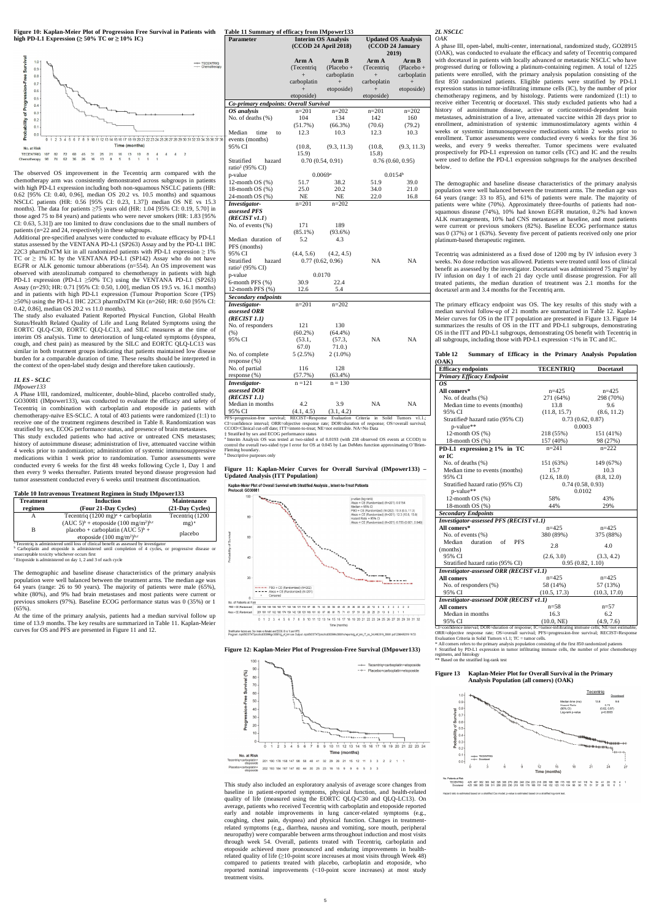**Figure 10: Kaplan-Meier Plot of Progression Free Survival in Patients with Table 11 Summary of efficacy from IMpower133 high PD-L1 Expression (≥ 50% TC or ≥ 10% IC)**



The observed OS improvement in the Tecentriq arm compared with the chemotherapy arm was consistently demonstrated across subgroups in patients with high PD-L1 expression including both non-squamous NSCLC patients (HR: 0.62 [95% CI: 0.40, 0.96], median OS 20.2 vs. 10.5 months) and squamous NSCLC patients (HR: 0.56 [95% CI: 0.23, 1.37]) median OS NE vs 15.3 months). The data for patients ≥75 years old (HR: 1.04 [95% CI: 0.19, 5.70] in those aged 75 to 84 years) and patients who were never smokers (HR: 1.83 [95% CI: 0.63, 5.31]) are too limited to draw conclusions due to the small numbers of patients (n=22 and 24, respectively) in these subgroups.

Additional pre-specified analyses were conducted to evaluate efficacy by PD-L1 status assessed by the VENTANA PD-L1 (SP263) Assay and by the PD-L1 IHC 22C3 pharmDxTM kit in all randomized patients with PD-L1 expression  $\geq$  1% TC or  $\geq$  1% IC by the VENTANA PD-L1 (SP142) Assay who do not have EGFR or ALK genomic tumour abberations (n=554). An OS improvement was observed with atezolizumab compared to chemotherapy in patients with high PD-L1 expression (PD-L1 ≥50% TC) using the VENTANA PD-L1 (SP263) Assay (n=293; HR: 0.71 [95% CI: 0.50, 1.00], median OS 19.5 vs. 16.1 months) and in patients with high PD-L1 expression (Tumour Proportion Score (TPS) ≥50%) using the PD-L1 IHC 22C3 pharmDxTM Kit (n=260; HR: 0.60 [95% CI: 0.42, 0.86], median OS 20.2 vs 11.0 months).

The study also evaluated Patient Reported Physical Function, Global Health Status/Health Related Quality of Life and Lung Related Symptoms using the EORTC QLQ-C30, EORTC QLQ-LC13, and SILC measures at the time of interim OS analysis. Time to deterioration of lung-related symptoms (dyspnea, cough, and chest pain) as measured by the SILC and EORTC QLQ-LC13 was similar in both treatment groups indicating that patients maintained low disease burden for a comparable duration of time. These results should be interpreted in the context of the open-label study design and therefore taken cautiously.

<sup>h</sup> Cecentriq is administered until loss of clinical benefit as assessed by investigator<br><sup>b</sup> Carboplatin and etoposide is administered until completion of 4 cycles, or progressive disease or nacceptable toxicity whichever occurs first <sup>c</sup> Etoposide is administered on day 1, 2 and 3 of each cycle

The demographic and baseline disease characteristics of the primary analysis population were well balanced between the treatment arms. The median age was 64 years (range: 26 to 90 years). The majority of patients were male (65%), white (80%), and 9% had brain metastases and most patients were current or previous smokers (97%). Baseline ECOG performance status was 0 (35%) or 1  $(65\%)$ .

#### *1L ES - SCLC IMpower133*

A Phase I/III, randomized, multicenter, double-blind, placebo controlled study, GO30081 (IMpower133), was conducted to evaluate the efficacy and safety of Tecentriq in combination with carboplatin and etoposide in patients with chemotherapy-naïve ES-SCLC. A total of 403 patients were randomized (1:1) to receive one of the treatment regimens described in Table 8. Randomization was stratified by sex, ECOG performance status, and presence of brain metastases.

This study excluded patients who had active or untreated CNS metastases; history of autoimmune disease; administration of live, attenuated vaccine within 4 weeks prior to randomization; administration of systemic immunosuppressive medications within 1 week prior to randomization. Tumor assessments were conducted every 6 weeks for the first 48 weeks following Cycle 1, Day 1 and then every 9 weeks thereafter. Patients treated beyond disease progression had tumor assessment conducted every 6 weeks until treatment discontinuation.

PFS=progression-free survival; RECIST=Response Evaluation Criteria in Solid Tumors v1.1.; CI=confidence interval; ORR=objective response rate; DOR=duration of response; OS=overall survival;<br>CCOD=Clinical cut-off date; ITT=intent-to-treat; NE=not estimable. NA=No Data<br>‡ Stratified by sex and ECOG performance sta

a Interim Analysis OS was tested at two-sided α of 0.0193 (with 238 observed OS events at CCOD) to control the overall two-sided type I error for OS at 0.045 by Lan DeMets function approximating O' ning boundary. **b** Descriptive purposes only

## **Table 10 Intravenous Treatment Regimen in Study IMpower133**

| <b>Treatment</b> | <b>Induction</b>                                                                                  | <b>Maintenance</b>  |
|------------------|---------------------------------------------------------------------------------------------------|---------------------|
| regimen          | (Four 21-Day Cycles)                                                                              | (21-Day Cycles)     |
|                  | Tecentriq $(1200 \text{ mg})^a$ + carboplatin                                                     | Tecentriq (1200)    |
|                  | $(AUC 5)^b$ + etoposide $(100 \text{ mg/m}^2)^{b,c}$                                              | $mg$ ) <sup>a</sup> |
| в                | placebo + carboplatin $(AUC 5)^b$ +                                                               |                     |
|                  | etoposide $(100 \text{ mg/m}^2)$ <sup>b,c</sup>                                                   | placebo             |
|                  | <sup>a</sup> Tecentriq is administered until loss of clinical benefit as assessed by investigator |                     |

At the time of the primary analysis, patients had a median survival follow up time of 13.9 months. The key results are summarized in Table 11. Kaplan-Meier curves for OS and PFS are presented in Figure 11 and 12.

| Parameter                              | <b>Interim OS Analysis</b><br>$(CCOD 24$ April 2018) |                      | <b>Updated OS Analysis</b><br>(CCOD 24 January |                     |  |
|----------------------------------------|------------------------------------------------------|----------------------|------------------------------------------------|---------------------|--|
|                                        |                                                      |                      | 2019)                                          |                     |  |
|                                        | Arm A                                                | Arm B                | Arm A                                          | Arm B               |  |
|                                        | (Tecentriq                                           | $(Placebo +$         | (Tecentriq)                                    | $(Placebo +$        |  |
|                                        | $^{+}$                                               | carboplatin          | $+$                                            | carboplatin         |  |
|                                        | carboplatin                                          | $\qquad \qquad +$    | carboplatin                                    | $^{+}$              |  |
|                                        | $+$                                                  | etoposide)           | $+$                                            | etoposide)          |  |
|                                        | etoposide)                                           |                      | etoposide)                                     |                     |  |
| Co-primary endpoints: Overall Survival |                                                      |                      |                                                |                     |  |
| OS analysis                            | $n=201$                                              | $n=202$              | $n=201$                                        | $n=202$             |  |
| No. of deaths (%)                      | 104                                                  | 134                  | 142                                            | 160                 |  |
|                                        | $(51.7\%)$                                           | (66.3%)              | (70.6)                                         | (79.2)              |  |
| Median<br>time<br>to                   | 12.3                                                 | 10.3                 | 12.3                                           | 10.3                |  |
| events (months)                        |                                                      |                      |                                                |                     |  |
| 95% CI                                 | (10.8,                                               | (9.3, 11.3)          | (10.8,                                         | (9.3, 11.3)         |  |
|                                        | 15.9)                                                |                      | 15.8)                                          |                     |  |
| Stratified<br>hazard                   |                                                      | 0.70(0.54, 0.91)     |                                                | 0.76(0.60, 0.95)    |  |
| ratio <sup>#</sup> (95% CI)            |                                                      |                      |                                                |                     |  |
| p-value                                | 51.7                                                 | 0.0069a              |                                                | 0.0154 <sup>b</sup> |  |
| 12-month $OS(%)$<br>18-month $OS(%)$   | 25.0                                                 | 38.2<br>20.2         | 51.9<br>34.0                                   | 39.0<br>21.0        |  |
| 24-month OS (%)                        | NE                                                   | NE                   | 22.0                                           | 16.8                |  |
| Investigator-                          | $n=201$                                              | $n = 202$            |                                                |                     |  |
| assessed PFS                           |                                                      |                      |                                                |                     |  |
| (RECIST v1.1)                          |                                                      |                      |                                                |                     |  |
| No. of events $(\%)$                   | 171                                                  | 189                  |                                                |                     |  |
|                                        | $(85.1\%)$                                           | (93.6%)              |                                                |                     |  |
| Median duration of                     | 5.2                                                  | 4.3                  |                                                |                     |  |
| PFS (months)                           |                                                      |                      |                                                |                     |  |
| 95% CI                                 | (4.4, 5.6)                                           | (4.2, 4.5)           |                                                |                     |  |
| Stratified<br>hazard                   |                                                      | 0.77(0.62, 0.96)     | NA                                             | NA                  |  |
| ratio <sup>‡</sup> (95% CI)            |                                                      |                      |                                                |                     |  |
| p-value                                |                                                      | 0.0170               |                                                |                     |  |
| $6$ -month PFS $(\%)$                  | 30.9                                                 | 22.4                 |                                                |                     |  |
| 12-month PFS (%)                       | 12.6                                                 | 5.4                  |                                                |                     |  |
| Secondary endpoints                    |                                                      |                      |                                                |                     |  |
| Investigator-                          | $n=201$                                              | $n=202$              |                                                |                     |  |
| assessed ORR                           |                                                      |                      |                                                |                     |  |
| (RECIST 1.1)                           |                                                      |                      |                                                |                     |  |
| No. of responders<br>(% )              | 121<br>$(60.2\%)$                                    | 130                  |                                                |                     |  |
| 95% CI                                 | (53.1,                                               | $(64.4\%)$<br>(57.3, | NA                                             | NA                  |  |
|                                        | 67.0)                                                | 71.0.                |                                                |                     |  |
| No. of complete                        | $5(2.5\%)$                                           | $2(1.0\%)$           |                                                |                     |  |
| response(%)                            |                                                      |                      |                                                |                     |  |
| No. of partial                         | 116                                                  | 128                  |                                                |                     |  |
| response(%)                            | (57.7%)                                              | $(63.4\%)$           |                                                |                     |  |
| Investigator-                          | $n = 121$                                            | $n = 130$            |                                                |                     |  |
| assessed DOR                           |                                                      |                      |                                                |                     |  |
| (RECIST 1.1)                           |                                                      |                      |                                                |                     |  |
| Median in months                       | 4.2                                                  | 3.9                  | NA                                             | NA                  |  |
| 95% CI                                 | (4.1, 4.5)                                           | (3.1, 4.2)           |                                                |                     |  |

### **Figure 11: Kaplan-Meier Curves for Overall Survival (IMpower133) – Updated Analysis (ITT Population)**

Kaplan-Meier Plot of Overall Survival with Stratified Analysis, Intent-to-Treat Patients



### **Figure 12: Kaplan-Meier Plot of Progression-Free Survival (IMpower133)**



This study also included an exploratory analysis of average score changes from baseline in patient-reported symptoms, physical function, and health-related quality of life (measured using the EORTC QLQ-C30 and QLQ-LC13). On average, patients who received Tecentriq with carboplatin and etoposide reported early and notable improvements in lung cancer-related symptoms (e.g., coughing, chest pain, dyspnea) and physical function. Changes in treatmentrelated symptoms (e.g., diarrhea, nausea and vomiting, sore mouth, peripheral neuropathy) were comparable between arms throughout induction and most visits through week 54. Overall, patients treated with Tecentriq, carboplatin and etoposide achieved more pronounced and enduring improvements in healthrelated quality of life (≥10-point score increases at most visits through Week 48) compared to patients treated with placebo, carboplatin and etoposide, who reported nominal improvements (<10-point score increases) at most study treatment visits.

#### *2L NSCLC OAK*

A phase III, open-label, multi-center, international, randomized study, GO28915 (OAK), was conducted to evaluate the efficacy and safety of Tecentriq compared with docetaxel in patients with locally advanced or metastatic NSCLC who have progressed during or following a platinum-containing regimen. A total of 1225 patients were enrolled, with the primary analysis population consisting of the first 850 randomized patients. Eligible patients were stratified by PD-L1 expression status in tumor-infiltrating immune cells (IC), by the number of prior chemotherapy regimens, and by histology. Patients were randomized (1:1) to receive either Tecentriq or docetaxel. This study excluded patients who had a history of autoimmune disease, active or corticosteroid-dependent brain metastases, administration of a live, attenuated vaccine within 28 days prior to enrollment, administration of systemic immunostimulatory agents within 4 weeks or systemic immunosuppressive medications within 2 weeks prior to enrollment. Tumor assessments were conducted every 6 weeks for the first 36 weeks, and every 9 weeks thereafter. Tumor specimens were evaluated prospectively for PD-L1 expression on tumor cells (TC) and IC and the results were used to define the PD-L1 expression subgroups for the analyses described below.

The demographic and baseline disease characteristics of the primary analysis population were well balanced between the treatment arms. The median age was 64 years (range: 33 to 85), and 61% of patients were male. The majority of patients were white (70%). Approximately three-fourths of patients had nonsquamous disease (74%), 10% had known EGFR mutation, 0.2% had known ALK rearrangements, 10% had CNS metastases at baseline, and most patients were current or previous smokers (82%). Baseline ECOG performance status was 0 (37%) or 1 (63%). Seventy five percent of patients received only one prior platinum-based therapeutic regimen.

Tecentriq was administered as a fixed dose of 1200 mg by IV infusion every 3 weeks. No dose reduction was allowed. Patients were treated until loss of clinical benefit as assessed by the investigator. Docetaxel was administered 75 mg/m<sup>2</sup> by IV infusion on day 1 of each 21 day cycle until disease progression. For all treated patients, the median duration of treatment was 2.1 months for the docetaxel arm and 3.4 months for the Tecentriq arm.

The primary efficacy endpoint was OS. The key results of this study with a median survival follow-up of 21 months are summarized in Table 12. Kaplan-Meier curves for OS in the ITT population are presented in Figure 13. Figure 14 summarizes the results of OS in the ITT and PD-L1 subgroups, demonstrating OS in the ITT and PD-L1 subgroups, demonstrating OS benefit with Tecentriq in all subgroups, including those with PD-L1 expression <1% in TC and IC.

#### **Table 12 Summary of Efficacy in the Primary Analysis Population (OAK)**

| <b>Efficacy endpoints</b>                     | <b>TECENTRIQ</b> | <b>Docetaxel</b> |  |
|-----------------------------------------------|------------------|------------------|--|
| <b>Primary Efficacy Endpoint</b>              |                  |                  |  |
| OS.                                           |                  |                  |  |
| All comers*                                   | $n=425$          | $n=425$          |  |
| No. of deaths (%)                             | 271 (64%)        | 298 (70%)        |  |
| Median time to events (months)                | 13.8             | 9.6              |  |
| 95% CI                                        | (11.8, 15.7)     | (8.6, 11.2)      |  |
| Stratified <sup>#</sup> hazard ratio (95% CI) | 0.73(0.62, 0.87) |                  |  |
| p-value**                                     | 0.0003           |                  |  |
| 12-month OS (%)                               | 218 (55%)        | 151 (41%)        |  |
| 18-month $OS(%)$                              | 157 (40%)        | 98 (27%)         |  |
| PD-L1 expression $\geq 1\%$ in TC             | $n=241$          | $n=222$          |  |
| or IC                                         |                  |                  |  |
| No. of deaths $(\%)$                          | 151 (63%)        | 149 (67%)        |  |
| Median time to events (months)                | 15.7             | 10.3             |  |
| 95% CI                                        | (12.6, 18.0)     | (8.8, 12.0)      |  |
| Stratified hazard ratio (95% CI)              | 0.74(0.58, 0.93) |                  |  |
| p-value**                                     | 0.0102           |                  |  |
| 12-month OS (%)                               | 58%              | 43%              |  |
| 18-month $OS(%)$                              | 44%              | 29%              |  |
| <b>Secondary Endpoints</b>                    |                  |                  |  |
| Investigator-assessed PFS (RECIST v1.1)       |                  |                  |  |
| All comers*                                   | $n=425$          | $n=425$          |  |
| No. of events $(\% )$                         | 380 (89%)        | 375 (88%)        |  |
| Median duration of PFS                        | 2.8              | 4.0              |  |
| (months)                                      |                  |                  |  |
| 95% CI                                        | (2.6, 3.0)       | (3.3, 4.2)       |  |
| Stratified hazard ratio (95% CI)              | 0.95(0.82, 1.10) |                  |  |
| Investigator-assessed ORR (RECIST v1.1)       |                  |                  |  |
| <b>All comers</b>                             | $n=425$          | $n=425$          |  |
| No. of responders (%)                         | 58 (14%)         | 57 (13%)         |  |
| 95% CI                                        | (10.5, 17.3)     | (10.3, 17.0)     |  |
| Investigator-assessed DOR (RECIST v1.1)       |                  |                  |  |
| All comers                                    | $n = 58$         | $n=57$           |  |
|                                               | 16.3             | 6.2              |  |
| Median in months                              |                  |                  |  |

ORR=objective response rate; OS=overall survival; PFS=progression-free survival; RECIST=Response Evaluation Criteria in Solid Tumors v1.1; TC = tumor cells.

\* All comers refers to the primary analysis population consisting of the first 850 randomized patients ǂ Stratified by PD-L1 expression in tumor infiltrating immune cells, the number of prior chemotherapy

regimens, and histology \*\* Based on the stratified log-rank test

**Figure 13 Kaplan-Meier Plot for Overall Survival in the Primary Analysis Population (all comers) (OAK)**



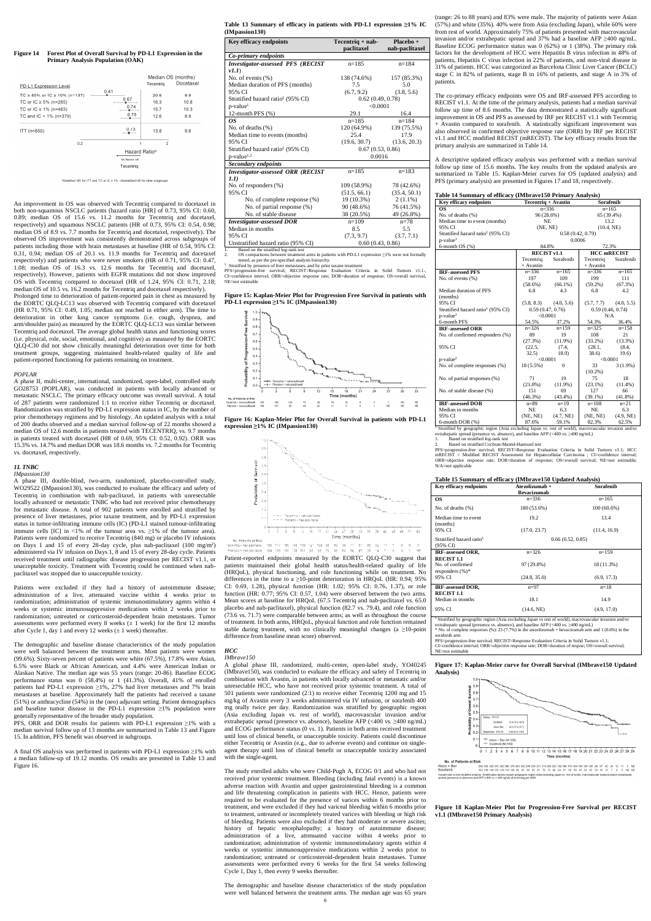## **Figure 14 Forest Plot of Overall Survival by PD-L1 Expression in the Primary Analysis Population (OAK)**

An improvement in OS was observed with Tecentriq compared to docetaxel in both non-squamous NSCLC patients (hazard ratio [HR] of 0.73, 95% CI: 0.60, 0.89; median OS of 15.6 vs. 11.2 months for Tecentriq and docetaxel, respectively) and squamous NSCLC patients (HR of 0.73, 95% CI: 0.54, 0.98; median OS of 8.9 vs. 7.7 months for Tecentriq and docetaxel, respectively). The observed OS improvement was consistently demonstrated across subgroups of patients including those with brain metastases at baseline (HR of 0.54, 95% CI: 0.31, 0.94; median OS of 20.1 vs. 11.9 months for Tecentriq and docetaxel respectively) and patients who were never smokers (HR of 0.71, 95% CI: 0.47, 1.08; median OS of 16.3 vs. 12.6 months for Tecentriq and docetaxel, respectively). However, patients with EGFR mutations did not show improved OS with Tecentriq compared to docetaxel (HR of 1.24, 95% CI: 0.71, 2.18; median OS of 10.5 vs. 16.2 months for Tecentriq and docetaxel respectively). Prolonged time to deterioration of patient-reported pain in chest as measured by the EORTC QLQ-LC13 was observed with Tecentriq compared with docetaxel (HR 0.71, 95% CI: 0.49, 1.05; median not reached in either arm). The time to deterioration in other lung cancer symptoms (i.e. cough, dyspnea, and arm/shoulder pain) as measured by the EORTC QLQ-LC13 was similar between Tecentriq and docetaxel. The average global health status and functioning scores (i.e. physical, role, social, emotional, and cognitive) as measured by the EORTC QLQ-C30 did not show clinically meaningful deterioration over time for both treatment groups, suggesting maintained health-related quality of life and patient-reported functioning for patients remaining on treatment.

#### *POPLAR*

Patients were excluded if they had a history of autoimmune disease; administration of a live, attenuated vaccine within 4 weeks prior to randomization; administration of systemic immunostimulatory agents within 4 weeks or systemic immunosuppressive medications within 2 weeks prior to randomization; untreated or corticosteroid-dependent brain metastases. Tumor assessments were performed every 8 weeks  $(\pm 1$  week) for the first 12 months after Cycle 1, day 1 and every 12 weeks  $(\pm 1$  week) thereafter.

A phase II, multi-center, international, randomized, open-label, controlled study GO28753 (POPLAR), was conducted in patients with locally advanced or metastatic NSCLC. The primary efficacy outcome was overall survival. A total of 287 patients were randomized 1:1 to receive either Tecentriq or docetaxel. Randomization was stratified by PD-L1 expression status in IC, by the number of prior chemotherapy regimens and by histology. An updated analysis with a total of 200 deaths observed and a median survival follow-up of 22 months showed a median OS of 12.6 months in patients treated with TECENTRIQ, vs. 9.7 months in patients treated with docetaxel (HR of 0.69, 95% CI: 0.52, 0.92). ORR was 15.3% vs. 14.7% and median DOR was 18.6 months vs. 7.2 months for Tecentriq vs. docetaxel, respectively.

## *1L TNBC*

## *IMpassion130*

A phase III, double-blind, two-arm, randomized, placebo-controlled study, WO29522 (IMpassion130), was conducted to evaluate the efficacy and safety of Tecentriq in combination with nab-paclitaxel, in patients with unresectable locally advanced or metastatic TNBC who had not received prior chemotherapy for metastatic disease. A total of 902 patients were enrolled and stratified by presence of liver metastases, prior taxane treatment, and by PD-L1 expression status in tumor-infiltrating immune cells (IC) (PD-L1 stained tumour-infiltrating immune cells [IC] in <1% of the tumour area vs.  $\geq$ 1% of the tumour area). Patients were randomized to receive Tecentriq (840 mg) or placebo IV infusions on Days 1 and 15 of every 28-day cycle, plus nab-paclitaxel (100 mg/m<sup>2</sup>) administered via IV infusion on Days 1, 8 and 15 of every 28-day cycle. Patients received treatment until radiographic disease progression per RECIST v1.1, or unacceptable toxicity. Treatment with Tecentriq could be continued when nabpaclitaxel was stopped due to unacceptable toxicity.

‡ Stratified by presence of liver metastases, and by prior taxane treatment<br>PFS=progression-free survival; RECIST=Response Evaluation Criteria in Solid Tumors v1.1.;<br>CI=confidence interval; ORR=objecti NE=not estimable

184 170 160 132 113 95 85 72 66 62 54 47 28 14 Placebo + nab-paciliaxel Patient-reported endpoints measured by the EORTC QLQ-C30 suggest that patients maintained their global health status/health-related quality of life (HRQoL), physical functioning, and role functioning while on treatment. No differences in the time to a  $\geq$ 10-point deterioration in HRQoL (HR: 0.94; 95% CI: 0.69, 1.28), physical function (HR: 1.02; 95% CI: 0.76, 1.37), or role function (HR: 0.77; 95% CI: 0.57, 1.04) were observed between the two arms. Mean scores at baseline for HRQoL (67.5 Tecentriq and nab-paclitaxel vs. 65.0 placebo and nab-paclitaxel), physical function (82.7 vs. 79.4), and role function (73.6 vs. 71.7) were comparable between arms; as well as throughout the course of treatment. In both arms, HRQoL, physical function and role function remained stable during treatment, with no clinically meaningful changes (a  $\geq$ 10-point difference from baseline mean score) observed.

The demographic and baseline disease characteristics of the study population were well balanced between the treatment arms. Most patients were women (99.6%). Sixty-seven percent of patients were white (67.5%), 17.8% were Asian, 6.5% were Black or African American, and 4.4% were American Indian or Alaskan Native. The median age was 55 years (range: 20-86). Baseline ECOG performance status was 0 (58.4%) or 1 (41.3%). Overall, 41% of enrolled patients had PD-L1 expression ≥1%, 27% had liver metastases and 7% brain metastases at baseline. Approximately half the patients had received a taxane (51%) or anthracycline (54%) in the (neo) adjuvant setting. Patient demographics and baseline tumor disease in the PD-L1 expression ≥1% population were generally representative of the broader study population.

PFS, ORR and DOR results for patients with PD-L1 expression ≥1% with a median survival follow up of 13 months are summarized in Table 13 and Figure 15. In addition, PFS benefit was observed in subgroups.

A final OS analysis was performed in patients with PD-L1 expression ≥1% with a median follow-up of 19.12 months. OS results are presented in Table 13 and Figure 16.

**Table 13 Summary of efficacy in patients with PD-L1 expression ≥1% IC (IMpassion130)**

| <b>Mpassion130)</b>                           |                     |                |  |
|-----------------------------------------------|---------------------|----------------|--|
| Key efficacy endpoints                        | $Tecentriq + nab -$ | Placebo +      |  |
|                                               | paclitaxel          | nab-paclitaxel |  |
| Co-primary endpoints                          |                     |                |  |
| Investigator-assessed PFS (RECIST             | $n=185$             | $n=184$        |  |
| v1.1)                                         |                     |                |  |
| No. of events (%)                             | 138 (74.6%)         | 157 (85.3%)    |  |
| Median duration of PFS (months)               | 7.5                 | 5.0            |  |
| 95% CI                                        | (6.7, 9.2)          | (3.8, 5.6)     |  |
| Stratified hazard ratio <sup>‡</sup> (95% CI) | 0.62(0.49, 0.78)    |                |  |
| p-value <sup>1</sup>                          | < 0.0001            |                |  |
| 12-month PFS (%)                              | 29.1                | 16.4           |  |
| OS.                                           | $n=185$             | $n=184$        |  |
| No. of deaths (%)                             | 120 (64.9%)         | 139 (75.5%)    |  |
| Median time to events (months)                | 25.4                | 17.9           |  |
| 95% CI                                        | (19.6, 30.7)        | (13.6, 20.3)   |  |
| Stratified hazard ratio <sup>‡</sup> (95% CI) | 0.67(0.53, 0.86)    |                |  |
| p-value <sup>1,2</sup>                        | 0.0016              |                |  |
| <b>Secondary endpoints</b>                    |                     |                |  |
| Investigator-assessed ORR (RECIST             | $n=185$             | $n=183$        |  |
| 1.1)                                          |                     |                |  |
| No. of responders (%)                         | 109 (58.9%)         | 78 (42.6%)     |  |
| 95% CI                                        | (51.5, 66.1)        | (35.4, 50.1)   |  |
| No. of complete response (%)                  | 19 (10.3%)          | $2(1.1\%)$     |  |
| No. of partial response (%)                   | 90 (48.6%)          | 76 (41.5%)     |  |
| No. of stable disease                         | 38 (20.5%)          | 49 (26.8%)     |  |
| <b>Investigator-assessed DOR</b>              | $n=109$             | $n = 78$       |  |
| Median in months                              | 8.5                 | 5.5            |  |
| 95% CI                                        | (7.3, 9.7)          | (3.7, 7.1)     |  |
| Unstratified hazard ratio (95% CI)            | 0.60(0.43, 0.86)    |                |  |
| Based on the stratified log-rank test         |                     |                |  |

1. Based on the stratified log-rank test 2. OS comparisons between treatment arms in patients with PD-L1 expression ≥1% were not formally tested, as per the pre-specified analysis hierarchy.

Based on stratified log-rank test 2. Based on stratified Cochran-Mantel-Haenszel test

**Figure 15: Kaplan-Meier Plot for Progression Free Survival in patients with PD-L1 expression ≥1% IC (IMpassion130)**







#### *HCC IMbrave150*

A global phase III, randomized, multi-center, open-label study, YO40245 (IMbrave150), was conducted to evaluate the efficacy and safety of Tecentriq in combination with Avastin, in patients with locally advanced or metastatic and/or unresectable HCC, who have not received prior systemic treatment. A total of 501 patients were randomized (2:1) to receive either Tecentriq 1200 mg and 15 mg/kg of Avastin every 3 weeks administered via IV infusion, or sorafenib 400 mg orally twice per day. Randomization was stratified by geographic region (Asia excluding Japan vs. rest of world), macrovascular invasion and/or extrahepatic spread (presence vs. absence), baseline AFP (<400 vs. ≥400 ng/mL) and ECOG performance status (0 vs. 1). Patients in both arms received treatment until loss of clinical benefit, or unacceptable toxicity. Patients could discontinue either Tecentriq or Avastin (e.g., due to adverse events) and continue on singleagent therapy until loss of clinical benefit or unacceptable toxicity associated with the single-agent.

The study enrolled adults who were Child-Pugh A, ECOG 0/1 and who had not received prior systemic treatment. Bleeding (including fatal events) is a known adverse reaction with Avastin and upper gastrointestinal bleeding is a common and life threatening complication in patients with HCC. Hence, patients were required to be evaluated for the presence of varices within 6 months prior to treatment, and were excluded if they had variceal bleeding within 6 months prior to treatment, untreated or incompletely treated varices with bleeding or high risk of bleeding. Patients were also excluded if they had moderate or severe ascites; history of hepatic encephalopathy; a history of autoimmune disease; administration of a live, attenuated vaccine within 4 weeks prior to randomization; administration of systemic immunostimulatory agents within 4 weeks or systemic immunosuppressive medications within 2 weeks prior to randomization; untreated or corticosteroid-dependent brain metastases. Tumor assessments were performed every 6 weeks for the first 54 weeks following Cycle 1, Day 1, then every 9 weeks thereafter.

The demographic and baseline disease characteristics of the study population were well balanced between the treatment arms. The median age was 65 years

#### No. of Patients at Risk

Atezo + Ber<br>Sorafenib 336 329 320 312 302 288 276 263 252 240 233 221 214 209 202 192 186 175 164 156 134 105 80 57 42 24 12 11 2 NE<br>165 158 144 133 128 119 106 96 92 88 85 81 78 72 66 64 61 58 55 49 44 32 24 18 12 7 3 2 NE NE analysis. Stratification factors include geographic region (A<br>) and AFP (<400 vs >=400 ng/ml) at screening per lxRS.

(range: 26 to 88 years) and 83% were male. The majority of patients were Asian (57%) and white (35%). 40% were from Asia (excluding Japan), while 60% were from rest of world. Approximately 75% of patients presented with macrovascular invasion and/or extrahepatic spread and 37% had a baseline AFP ≥400 ng/mL. Baseline ECOG performance status was 0 (62%) or 1 (38%). The primary risk factors for the development of HCC were Hepatitis B virus infection in 48% of patients, Hepatitis C virus infection in 22% of patients, and non-viral disease in 31% of patients. HCC was categorized as Barcelona Clinic Liver Cancer (BCLC) stage C in 82% of patients, stage B in 16% of patients, and stage A in 3% of patients.

The co-primary efficacy endpoints were OS and IRF-assessed PFS according to RECIST v1.1. At the time of the primary analysis, patients had a median survival follow up time of 8.6 months. The data demonstrated a statistically significant improvement in OS and PFS as assessed by IRF per RECIST v1.1 with Tecentriq + Avastin compared to sorafenib. A statistically significant improvement was also observed in confirmed objective response rate (ORR) by IRF per RECIST v1.1 and HCC modified RECIST (mRECIST). The key efficacy results from the primary analysis are summarized in Table 14.

A descriptive updated efficacy analysis was performed with a median survival follow up time of 15.6 months. The key results from the updated analysis are summarized in Table 15. Kaplan-Meier curves for OS (updated analysis) and PFS (primary analysis) are presented in Figures 17 and 18, respectively.

#### **Table 14 Summary of efficacy (IMbrave150 Primary Analysis)**

| <b>Key efficacy endpoints</b>                                                                                               | Tecentriq + Avastin |                  | Sorafenib          |            |
|-----------------------------------------------------------------------------------------------------------------------------|---------------------|------------------|--------------------|------------|
| <b>OS</b>                                                                                                                   | $n=336$             |                  | $n=165$            |            |
| No. of deaths $(\% )$                                                                                                       | 96 (28.6%)          |                  | 65 (39.4%)         |            |
| Median time to event (months)                                                                                               | NE.                 |                  | 13.2               |            |
| 95% CI                                                                                                                      | (NE, NE)            |                  | (10.4, NE)         |            |
| Stratified hazard ratio <sup>‡</sup> (95% CI)                                                                               |                     | 0.58(0.42, 0.79) |                    |            |
| $p$ -value <sup>1</sup>                                                                                                     |                     | 0.0006           |                    |            |
| $6$ -month OS $(\%)$                                                                                                        | 84.8%               |                  | 72.3%              |            |
|                                                                                                                             | <b>RECIST v1.1</b>  |                  | <b>HCC</b> mRECIST |            |
|                                                                                                                             | Tecentriq           | Sorafenib        | Tecentriq          | Sorafenib  |
|                                                                                                                             | + Avastin           |                  | + Avastin          |            |
| <b>IRF-assessed PFS</b>                                                                                                     | $n=336$             | $n=165$          | $n=336$            | $n=165$    |
| No. of events $(\% )$                                                                                                       | 197                 | 109              | 199                | 111        |
|                                                                                                                             | $(58.6\%)$          | $(66.1\%)$       | $(59.2\%)$         | (67.3%)    |
| Median duration of PFS                                                                                                      | 6.8                 | 4.3              | 6.8                | 4.2        |
| (months)                                                                                                                    |                     |                  |                    |            |
| 95% CI                                                                                                                      | (5.8, 8.3)          | (4.0, 5.6)       | (5.7, 7.7)         | (4.0, 5.5) |
| Stratified hazard ratio <sup>‡</sup> (95% CI)                                                                               | 0.59(0.47, 0.76)    |                  | 0.59(0.46, 0.74)   |            |
| $p$ -value <sup>1</sup>                                                                                                     | < 0.0001            |                  | N/A                |            |
| 6-month PFS                                                                                                                 | 54.5%               | 37.2%            | 54.3%              | 36.4%      |
| <b>IRF-assessed ORR</b>                                                                                                     | $n = 326$           | $n=159$          | $n=325$            | $n = 1.58$ |
| No. of confirmed responders (%)                                                                                             | 89                  | 19               | 108                | 21         |
|                                                                                                                             | $(27.3\%)$          | $(11.9\%)$       | $(33.2\%)$         | $(13.3\%)$ |
| 95% CI                                                                                                                      | (22.5,              | (7.4,            | (28.1,             | (8.4,      |
|                                                                                                                             | 32.5)               | 18.0             | 38.6)              | 19.6)      |
| $p$ -value <sup>2</sup>                                                                                                     | < 0.0001            |                  | < 0.0001           |            |
| No. of complete responses (%)                                                                                               | 18 (5.5%)           | $\Omega$         | 33                 | $3(1.9\%)$ |
|                                                                                                                             |                     |                  | $(10.2\%)$         |            |
| No. of partial responses (%)                                                                                                | 71                  | 19               | 75                 | 18         |
|                                                                                                                             | $(21.8\%)$          | $(11.9\%)$       | $(23.1\%)$         | $(11.4\%)$ |
| No. of stable disease (%)                                                                                                   | 151                 | 69               | 127                | 66         |
|                                                                                                                             | $(46.3\%)$          | $(43.4\%)$       | $(39.1\%)$         | $(41.8\%)$ |
| <b>IRF-assessed DOR</b>                                                                                                     | $n=89$              | $n=19$           | $n=108$            | $n=21$     |
| Median in months                                                                                                            | NE                  | 6.3              | NE                 | 6.3        |
| 95% CI                                                                                                                      | (NE, NE)            | (4.7, NE)        | (NE, NE)           | (4.9, NE)  |
| 6-month DOR (%)<br>Stratified by geographic racion (Acio excluding Japan vs. rest of world), meansycoupler investion and/or | 87.6%               | 59.1%            | 82.3%              | 62.5%      |

Stratified by geographic region (Asia excluding Japan vs. rest of world), macrovascular invasion and/or extrahepatic spread (presence vs. absence), and baseline AFP (<400 vs. ≥400 ng/mL)

PFS=progression-free survival; RECIST=Response Evaluation Criteria in Solid Tumors v1.1; HCC mRECIST = Modified RECIST Assessment for Hepatocellular Carcinoma ; CI=confidence interval; ORR=objective response rate; DOR=duration of response; OS=overall survival; NE=not estimable; N/A=not applicable

|  |  |  |  | Table 15 Summary of efficacy (IMbrave150 Updated Analysis) |  |  |
|--|--|--|--|------------------------------------------------------------|--|--|
|  |  |  |  |                                                            |  |  |

| <b>Key efficacy endpoints</b>                    | Atezolizumab +<br><b>Bevacizumab</b> | Sorafenib     |  |
|--------------------------------------------------|--------------------------------------|---------------|--|
| <b>OS</b>                                        | $n=336$                              | $n=165$       |  |
| No. of deaths $(\%)$                             | 180 (53.6%)                          | $100(60.6\%)$ |  |
| Median time to event.<br>(months)                | 19.2                                 | 13.4          |  |
| 95% CI                                           | (17.0, 23.7)                         | (11.4, 16.9)  |  |
| Stratified hazard ratio <sup>1</sup><br>(95% CI) | 0.66(0.52, 0.85)                     |               |  |
| IRF-assessed ORR,<br><b>RECIST 1.1</b>           | $n=326$                              | $n=159$       |  |
| No. of confirmed<br>responders $(\%)^*$          | 97 (29.8%)                           | 18 (11.3%)    |  |
| 95% CI                                           | (24.8, 35.0)                         | (6.9, 17.3)   |  |
| IRF-assessed DOR,<br><b>RECIST 1.1</b>           | $n=97$                               | $n=18$        |  |
| Median in months                                 | 18.1                                 | 14.9          |  |
| 95% CI                                           | (14.6, NE)                           | (4.9, 17.0)   |  |

‡ Stratified by geographic region (Asia excluding Japan vs rest of world), m extrahepatic spread (presence vs. absence), and baseline AFP (<400 vs. ≥400 ng/mL)  $*$  No. of complete responses (%): 25 (7.7%) in the atezolizumab + bevacizumab arm and 1 (0.6%) in the sorafenib arm

PFS=progression-free survival; RECIST=Response Evaluation Criteria in Solid Tumors v1.1;

CI=confidence interval; ORR=objective response rate; DOR=duration of respoe; OS=overall survival; NE=not estimable

**Figure 17: Kaplan-Meier curve for Overall Survival (IMbrave150 Updated Analysis)**



**Figure 18 Kaplan-Meier Plot for Progression-Free Survival per RECIST v1.1 (IMbrave150 Primary Analysis)**